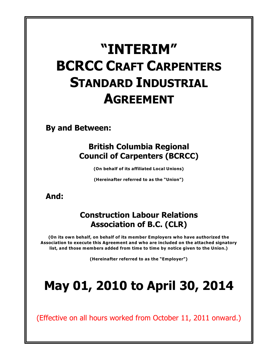# **"INTERIM" BCRCC CRAFT CARPENTERS STANDARD INDUSTRIAL AGREEMENT**

**By and Between:**

## **British Columbia Regional Council of Carpenters (BCRCC)**

**(On behalf of its affiliated Local Unions)**

**(Hereinafter referred to as the "Union")**

## **And:**

## **Construction Labour Relations Association of B.C. (CLR)**

**(On its own behalf, on behalf of its member Employers who have authorized the Association to execute this Agreement and who are included on the attached signatory list, and those members added from time to time by notice given to the Union.)**

**(Hereinafter referred to as the "Employer")**

# **May 01, 2010 to April 30, 2014**

(Effective on all hours worked from October 11, 2011 onward.)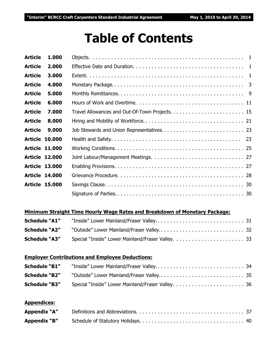# **Table of Contents**

| <b>Article</b> | 1.000                 |  |
|----------------|-----------------------|--|
| <b>Article</b> | 2.000                 |  |
| <b>Article</b> | 3.000                 |  |
| <b>Article</b> | 4.000                 |  |
| <b>Article</b> | 5.000                 |  |
| <b>Article</b> | 6.000                 |  |
| <b>Article</b> | 7.000                 |  |
| <b>Article</b> | 8.000                 |  |
| <b>Article</b> | 9.000                 |  |
|                | <b>Article 10.000</b> |  |
|                | <b>Article 11.000</b> |  |
|                | <b>Article 12,000</b> |  |
|                | <b>Article 13,000</b> |  |
|                | <b>Article 14.000</b> |  |
|                | <b>Article 15.000</b> |  |
|                |                       |  |

### **Minimum Straight Time Hourly Wage Rates and Breakdown of Monetary Package:**

| <b>Schedule "A1"</b> |  |
|----------------------|--|
|                      |  |
| <b>Schedule "A3"</b> |  |

### **Employer Contributions and Employee Deductions:**

| <b>Schedule "B1"</b> |  |
|----------------------|--|
|                      |  |
| <b>Schedule "B3"</b> |  |

## **Appendices:**

| Appendix "A" |  |
|--------------|--|
| Appendix "B" |  |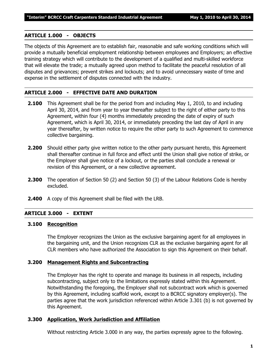#### **ARTICLE 1.000 - OBJECTS**

The objects of this Agreement are to establish fair, reasonable and safe working conditions which will provide a mutually beneficial employment relationship between employees and Employers; an effective training strategy which will contribute to the development of a qualified and multi-skilled workforce that will elevate the trade; a mutually agreed upon method to facilitate the peaceful resolution of all disputes and grievances; prevent strikes and lockouts; and to avoid unnecessary waste of time and expense in the settlement of disputes connected with the industry.

#### **ARTICLE 2.000 - EFFECTIVE DATE AND DURATION**

- **2.100** This Agreement shall be for the period from and including May 1, 2010, to and including April 30, 2014, and from year to year thereafter subject to the right of either party to this Agreement, within four (4) months immediately preceding the date of expiry of such Agreement, which is April 30, 2014, or immediately preceding the last day of April in any year thereafter, by written notice to require the other party to such Agreement to commence collective bargaining.
- **2.200** Should either party give written notice to the other party pursuant hereto, this Agreement shall thereafter continue in full force and effect until the Union shall give notice of strike, or the Employer shall give notice of a lockout, or the parties shall conclude a renewal or revision of this Agreement, or a new collective agreement.
- **2.300** The operation of Section 50 (2) and Section 50 (3) of the *Labour Relations Code* is hereby excluded.
- **2.400** A copy of this Agreement shall be filed with the LRB.

#### **ARTICLE 3.000 - EXTENT**

#### **3.100 Recognition**

The Employer recognizes the Union as the exclusive bargaining agent for all employees in the bargaining unit, and the Union recognizes CLR as the exclusive bargaining agent for all CLR members who have authorized the Association to sign this Agreement on their behalf.

#### **3.200 Management Rights and Subcontracting**

The Employer has the right to operate and manage its business in all respects, including subcontracting, subject only to the limitations expressly stated within this Agreement. Notwithstanding the foregoing, the Employer shall not subcontract work which is governed by this Agreement, including scaffold work, except to a BCRCC signatory employer(s). The parties agree that the work jurisdiction referenced within Article 3.301 (b) is not governed by this Agreement.

#### **3.300 Application, Work Jurisdiction and Affiliation**

Without restricting Article 3.000 in any way, the parties expressly agree to the following.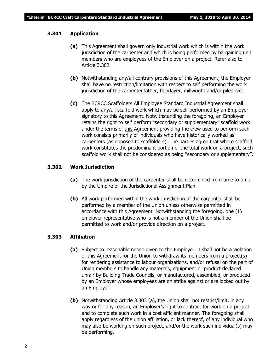#### **3.301 Application**

- **(a)** This Agreement shall govern only industrial work which is within the work jurisdiction of the carpenter and which is being performed by bargaining unit members who are employees of the Employer on a project. Refer also to Article 3.302.
- **(b)** Notwithstanding any/all contrary provisions of this Agreement, the Employer shall have no restriction/limitation with respect to self performing the work jurisdiction of the carpenter lather, floorlayer, millwright and/or piledriver.
- **(c)** The BCRCC Scaffolders All Employee Standard Industrial Agreement shall apply to any/all scaffold work which may be self performed by an Employer signatory to this Agreement. Notwithstanding the foregoing, an Employer retains the right to self perform "secondary or supplementary" scaffold work under the terms of this Agreement providing the crew used to perform such work consists primarily of individuals who have historically worked as carpenters (as opposed to scaffolders). The parties agree that where scaffold work constitutes the predominant portion of the total work on a project, such scaffold work shall not be considered as being "secondary or supplementary".

#### **3.302 Work Jurisdiction**

- **(a)** The work jurisdiction of the carpenter shall be determined from time to time by the Umpire of the Jurisdictional Assignment Plan.
- **(b)** All work performed within the work jurisdiction of the carpenter shall be performed by a member of the Union unless otherwise permitted in accordance with this Agreement. Notwithstanding the foregoing, one (1) employer representative who is not a member of the Union shall be permitted to work and/or provide direction on a project.

#### **3.303 Affiliation**

- **(a)** Subject to reasonable notice given to the Employer, it shall not be a violation of this Agreement for the Union to withdraw its members from a project(s) for rendering assistance to labour organizations, and/or refusal on the part of Union members to handle any materials, equipment or product declared unfair by Building Trade Councils, or manufactured, assembled, or produced by an Employer whose employees are on strike against or are locked out by an Employer.
- **(b)** Notwithstanding Article 3.303 (a), the Union shall not restrict/limit, in any way or for any reason, an Employer's right to contract for work on a project and to complete such work in a cost efficient manner. The foregoing shall apply regardless of the union affiliation, or lack thereof, of any individual who may also be working on such project, and/or the work such individual(s) may be performing.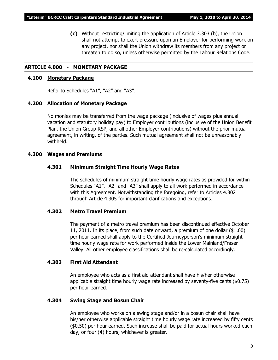**(c)** Without restricting/limiting the application of Article 3.303 (b), the Union shall not attempt to exert pressure upon an Employer for performing work on any project, nor shall the Union withdraw its members from any project or threaten to do so, unless otherwise permitted by the *Labour Relations Code*.

#### **ARTICLE 4.000 - MONETARY PACKAGE**

#### **4.100 Monetary Package**

Refer to Schedules "A1", "A2" and "A3".

#### **4.200 Allocation of Monetary Package**

No monies may be transferred from the wage package (inclusive of wages plus annual vacation and statutory holiday pay) to Employer contributions (inclusive of the Union Benefit Plan, the Union Group RSP, and all other Employer contributions) without the prior mutual agreement, in writing, of the parties. Such mutual agreement shall not be unreasonably withheld.

#### **4.300 Wages and Premiums**

#### **4.301 Minimum Straight Time Hourly Wage Rates**

The schedules of minimum straight time hourly wage rates as provided for within Schedules "A1", "A2" and "A3" shall apply to all work performed in accordance with this Agreement. Notwithstanding the foregoing, refer to Articles 4.302 through Article 4.305 for important clarifications and exceptions.

#### **4.302 Metro Travel Premium**

The payment of a metro travel premium has been discontinued effective October 11, 2011. In its place, from such date onward, a premium of one dollar (\$1.00) per hour earned shall apply to the Certified Journeyperson's minimum straight time hourly wage rate for work performed inside the Lower Mainland/Fraser Valley. All other employee classifications shall be re-calculated accordingly.

#### **4.303 First Aid Attendant**

An employee who acts as a first aid attendant shall have his/her otherwise applicable straight time hourly wage rate increased by seventy-five cents (\$0.75) per hour earned.

#### **4.304 Swing Stage and Bosun Chair**

An employee who works on a swing stage and/or in a bosun chair shall have his/her otherwise applicable straight time hourly wage rate increased by fifty cents (\$0.50) per hour earned. Such increase shall be paid for actual hours worked each day, or four (4) hours, whichever is greater.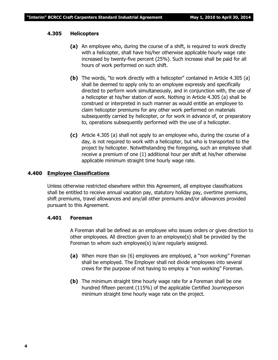#### **4.305 Helicopters**

- **(a)** An employee who, during the course of a shift, is required to work directly with a helicopter, shall have his/her otherwise applicable hourly wage rate increased by twenty-five percent (25%). Such increase shall be paid for all hours of work performed on such shift.
- **(b)** The words, "to work directly with a helicopter" contained in Article 4.305 (a) shall be deemed to apply only to an employee expressly and specifically directed to perform work simultaneously, and in conjunction with, the use of a helicopter at his/her station of work. Nothing in Article 4.305 (a) shall be construed or interpreted in such manner as would entitle an employee to claim helicopter premiums for any other work performed on materials subsequently carried by helicopter, or for work in advance of, or preparatory to, operations subsequently performed with the use of a helicopter.
- **(c)** Article 4.305 (a) shall not apply to an employee who, during the course of a day, is not required to work with a helicopter, but who is transported to the project by helicopter. Notwithstanding the foregoing, such an employee shall receive a premium of one (1) additional hour per shift at his/her otherwise applicable minimum straight time hourly wage rate.

#### **4.400 Employee Classifications**

Unless otherwise restricted elsewhere within this Agreement, all employee classifications shall be entitled to receive annual vacation pay, statutory holiday pay, overtime premiums, shift premiums, travel allowances and any/all other premiums and/or allowances provided pursuant to this Agreement.

#### **4.401 Foreman**

A Foreman shall be defined as an employee who issues orders or gives direction to other employees. All direction given to an employee(s) shall be provided by the Foreman to whom such employee(s) is/are regularly assigned.

- **(a)** When more than six (6) employees are employed, a "non working" Foreman shall be employed. The Employer shall not divide employees into several crews for the purpose of not having to employ a "non working" Foreman.
- **(b)** The minimum straight time hourly wage rate for a Foreman shall be one hundred fifteen percent (115%) of the applicable Certified Journeyperson minimum straight time hourly wage rate on the project.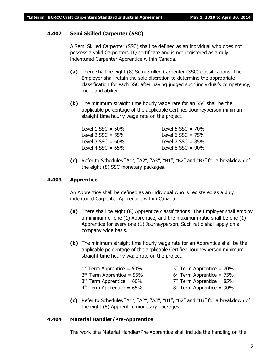#### **4.402 Semi Skilled Carpenter (SSC)**

A Semi Skilled Carpenter (SSC) shall be defined as an individual who does not possess a valid Carpenters TQ certificate and is not registered as a duly indentured Carpenter Apprentice within Canada.

- **(a)** There shall be eight (8) Semi Skilled Carpenter (SSC) classifications. The Employer shall retain the sole discretion to determine the appropriate classification for each SSC after having judged such individual's competency, merit and ability.
- **(b)** The minimum straight time hourly wage rate for an SSC shall be the applicable percentage of the applicable Certified Journeyperson minimum straight time hourly wage rate on the project.

| Level 1 $SSC = 50\%$   | Level 5 $SSC = 70%$    |
|------------------------|------------------------|
| Level 2 $SSC = 55\%$   | Level 6 $SSC = 75%$    |
| Level $3$ SSC = $60\%$ | Level 7 $SSC = 85%$    |
| Level 4 $SSC = 65\%$   | Level $8$ SSC = $90\%$ |

**(c)** Refer to Schedules "A1", "A2", "A3", "B1", "B2" and "B3" for a breakdown of the eight (8) SSC monetary packages.

#### **4.403 Apprentice**

An Apprentice shall be defined as an individual who is registered as a duly indentured Carpenter Apprentice within Canada.

- **(a)** There shall be eight (8) Apprentice classifications. The Employer shall employ a minimum of one (1) Apprentice, and the maximum ratio shall be one (1) Apprentice for every one (1) Journeyperson. Such ratio shall apply on a company wide basis.
- **(b)** The minimum straight time hourly wage rate for an Apprentice shall be the applicable percentage of the applicable Certified Journeyperson minimum straight time hourly wage rate on the project.

| $1st$ Term Apprentice = 50%    | $5th$ Term Apprentice = 70% |
|--------------------------------|-----------------------------|
| $2^{nd}$ Term Apprentice = 55% | $6th$ Term Apprentice = 75% |
| $3rd$ Term Apprentice = 60%    | $7th$ Term Apprentice = 85% |
| $4th$ Term Apprentice = 65%    | $8th$ Term Apprentice = 90% |

**(c)** Refer to Schedules "A1", "A2", "A3", "B1", "B2" and "B3" for a breakdown of the eight (8) Apprentice monetary packages.

#### **4.404 Material Handler/Pre-Apprentice**

The work of a Material Handler/Pre-Apprentice shall include the handling on the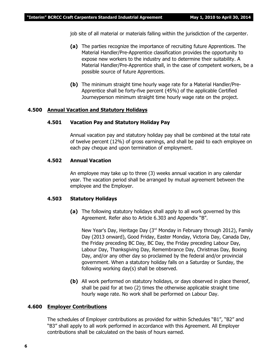job site of all material or materials falling within the jurisdiction of the carpenter.

- **(a)** The parties recognize the importance of recruiting future Apprentices. The Material Handler/Pre-Apprentice classification provides the opportunity to expose new workers to the industry and to determine their suitability. A Material Handler/Pre-Apprentice shall, in the case of competent workers, be a possible source of future Apprentices.
- **(b)** The minimum straight time hourly wage rate for a Material Handler/Pre-Apprentice shall be forty-five percent (45%) of the applicable Certified Journeyperson minimum straight time hourly wage rate on the project.

#### **4.500 Annual Vacation and Statutory Holidays**

#### **4.501 Vacation Pay and Statutory Holiday Pay**

Annual vacation pay and statutory holiday pay shall be combined at the total rate of twelve percent (12%) of gross earnings, and shall be paid to each employee on each pay cheque and upon termination of employment.

#### **4.502 Annual Vacation**

An employee may take up to three (3) weeks annual vacation in any calendar year. The vacation period shall be arranged by mutual agreement between the employee and the Employer.

#### **4.503 Statutory Holidays**

**(a)** The following statutory holidays shall apply to all work governed by this Agreement. Refer also to Article 6.303 and Appendix "B".

New Year's Day, Heritage Day  $(3<sup>rd</sup>$  Monday in February through 2012), Family Day (2013 onward), Good Friday, Easter Monday, Victoria Day, Canada Day, the Friday preceding BC Day, BC Day, the Friday preceding Labour Day, Labour Day, Thanksgiving Day, Remembrance Day, Christmas Day, Boxing Day, and/or any other day so proclaimed by the federal and/or provincial government. When a statutory holiday falls on a Saturday or Sunday, the following working day(s) shall be observed.

**(b)** All work performed on statutory holidays, or days observed in place thereof, shall be paid for at two (2) times the otherwise applicable straight time hourly wage rate. No work shall be performed on Labour Day.

#### **4.600 Employer Contributions**

The schedules of Employer contributions as provided for within Schedules "B1", "B2" and "B3" shall apply to all work performed in accordance with this Agreement. All Employer contributions shall be calculated on the basis of hours earned.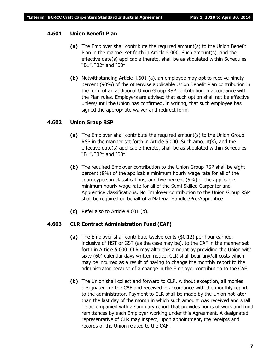#### **4.601 Union Benefit Plan**

- **(a)** The Employer shall contribute the required amount(s) to the Union Benefit Plan in the manner set forth in Article 5.000. Such amount(s), and the effective date(s) applicable thereto, shall be as stipulated within Schedules "B1", "B2" and "B3".
- **(b)** Notwithstanding Article 4.601 (a), an employee may opt to receive ninety percent (90%) of the otherwise applicable Union Benefit Plan contribution in the form of an additional Union Group RSP contribution in accordance with the Plan rules. Employers are advised that such option shall not be effective unless/until the Union has confirmed, in writing, that such employee has signed the appropriate waiver and redirect form.

#### **4.602 Union Group RSP**

- **(a)** The Employer shall contribute the required amount(s) to the Union Group RSP in the manner set forth in Article 5.000. Such amount(s), and the effective date(s) applicable thereto, shall be as stipulated within Schedules "B1", "B2" and "B3".
- **(b)** The required Employer contribution to the Union Group RSP shall be eight percent (8%) of the applicable minimum hourly wage rate for all of the Journeyperson classifications, and five percent (5%) of the applicable minimum hourly wage rate for all of the Semi Skilled Carpenter and Apprentice classifications. No Employer contribution to the Union Group RSP shall be required on behalf of a Material Handler/Pre-Apprentice.
- **(c)** Refer also to Article 4.601 (b).

#### **4.603 CLR Contract Administration Fund (CAF)**

- **(a)** The Employer shall contribute twelve cents (\$0.12) per hour earned, inclusive of HST or GST (as the case may be), to the CAF in the manner set forth in Article 5.000. CLR may alter this amount by providing the Union with sixty (60) calendar days written notice. CLR shall bear any/all costs which may be incurred as a result of having to change the monthly report to the administrator because of a change in the Employer contribution to the CAF.
- **(b)** The Union shall collect and forward to CLR, without exception, all monies designated for the CAF and received in accordance with the monthly report to the administrator. Payment to CLR shall be made by the Union not later than the last day of the month in which such amount was received and shall be accompanied with a summary report that provides hours of work and fund remittances by each Employer working under this Agreement. A designated representative of CLR may inspect, upon appointment, the receipts and records of the Union related to the CAF.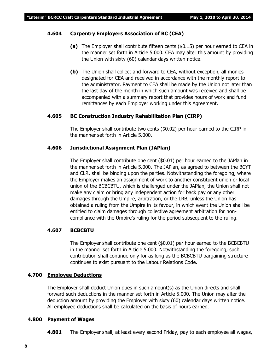#### **4.604 Carpentry Employers Association of BC (CEA)**

- **(a)** The Employer shall contribute fifteen cents (\$0.15) per hour earned to CEA in the manner set forth in Article 5.000. CEA may alter this amount by providing the Union with sixty (60) calendar days written notice.
- **(b)** The Union shall collect and forward to CEA, without exception, all monies designated for CEA and received in accordance with the monthly report to the administrator. Payment to CEA shall be made by the Union not later than the last day of the month in which such amount was received and shall be accompanied with a summary report that provides hours of work and fund remittances by each Employer working under this Agreement.

#### **4.605 BC Construction Industry Rehabilitation Plan (CIRP)**

The Employer shall contribute two cents (\$0.02) per hour earned to the CIRP in the manner set forth in Article 5.000.

#### **4.606 Jurisdictional Assignment Plan (JAPlan)**

The Employer shall contribute one cent (\$0.01) per hour earned to the JAPlan in the manner set forth in Article 5.000. The JAPlan, as agreed to between the BCYT and CLR, shall be binding upon the parties. Notwithstanding the foregoing, where the Employer makes an assignment of work to another constituent union or local union of the BCBCBTU, which is challenged under the JAPlan, the Union shall not make any claim or bring any independent action for back pay or any other damages through the Umpire, arbitration, or the LRB, unless the Union has obtained a ruling from the Umpire in its favour, in which event the Union shall be entitled to claim damages through collective agreement arbitration for noncompliance with the Umpire's ruling for the period subsequent to the ruling.

#### **4.607 BCBCBTU**

The Employer shall contribute one cent (\$0.01) per hour earned to the BCBCBTU in the manner set forth in Article 5.000. Notwithstanding the foregoing, such contribution shall continue only for as long as the BCBCBTU bargaining structure continues to exist pursuant to the *Labour Relations Code*.

#### **4.700 Employee Deductions**

The Employer shall deduct Union dues in such amount(s) as the Union directs and shall forward such deductions in the manner set forth in Article 5.000. The Union may alter the deduction amount by providing the Employer with sixty (60) calendar days written notice. All employee deductions shall be calculated on the basis of hours earned.

#### **4.800 Payment of Wages**

**4.801** The Employer shall, at least every second Friday, pay to each employee all wages,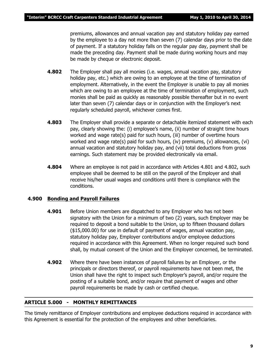premiums, allowances and annual vacation pay and statutory holiday pay earned by the employee to a day not more than seven (7) calendar days prior to the date of payment. If a statutory holiday falls on the regular pay day, payment shall be made the preceding day. Payment shall be made during working hours and may be made by cheque or electronic deposit.

- **4.802** The Employer shall pay all monies (i.e. wages, annual vacation pay, statutory holiday pay, etc.) which are owing to an employee at the time of termination of employment. Alternatively, in the event the Employer is unable to pay all monies which are owing to an employee at the time of termination of employment, such monies shall be paid as quickly as reasonably possible thereafter but in no event later than seven (7) calendar days or in conjunction with the Employer's next regularly scheduled payroll, whichever comes first.
- **4.803** The Employer shall provide a separate or detachable itemized statement with each pay, clearly showing the: (i) employee's name, (ii) number of straight time hours worked and wage rate(s) paid for such hours, (iii) number of overtime hours worked and wage rate(s) paid for such hours, (iv) premiums, (v) allowances, (vi) annual vacation and statutory holiday pay, and (vii) total deductions from gross earnings. Such statement may be provided electronically via email.
- **4.804** Where an employee is not paid in accordance with Articles 4.801 and 4.802, such employee shall be deemed to be still on the payroll of the Employer and shall receive his/her usual wages and conditions until there is compliance with the conditions.

#### **4.900 Bonding and Payroll Failures**

- **4.901** Before Union members are dispatched to any Employer who has not been signatory with the Union for a minimum of two (2) years, such Employer may be required to deposit a bond suitable to the Union, up to fifteen thousand dollars (\$15,000.00) for use in default of payment of wages, annual vacation pay, statutory holiday pay, Employer contributions and/or employee deductions required in accordance with this Agreement. When no longer required such bond shall, by mutual consent of the Union and the Employer concerned, be terminated.
- **4.902** Where there have been instances of payroll failures by an Employer, or the principals or directors thereof, or payroll requirements have not been met, the Union shall have the right to inspect such Employer's payroll, and/or require the posting of a suitable bond, and/or require that payment of wages and other payroll requirements be made by cash or certified cheque.

#### **ARTICLE 5.000 - MONTHLY REMITTANCES**

The timely remittance of Employer contributions and employee deductions required in accordance with this Agreement is essential for the protection of the employees and other beneficiaries.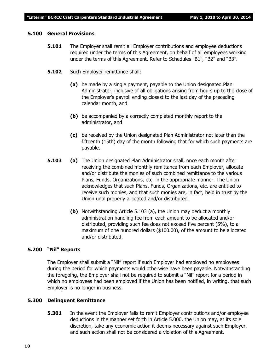#### **5.100 General Provisions**

- **5.101** The Employer shall remit all Employer contributions and employee deductions required under the terms of this Agreement, on behalf of all employees working under the terms of this Agreement. Refer to Schedules "B1", "B2" and "B3".
- **5.102** Such Employer remittance shall:
	- **(a)** be made by a single payment, payable to the Union designated Plan Administrator, inclusive of all obligations arising from hours up to the close of the Employer's payroll ending closest to the last day of the preceding calendar month, and
	- **(b)** be accompanied by a correctly completed monthly report to the administrator, and
	- **(c)** be received by the Union designated Plan Administrator not later than the fifteenth (15th) day of the month following that for which such payments are payable.
- **5.103 (a)** The Union designated Plan Administrator shall, once each month after receiving the combined monthly remittance from each Employer, allocate and/or distribute the monies of such combined remittance to the various Plans, Funds, Organizations, etc. in the appropriate manner. The Union acknowledges that such Plans, Funds, Organizations, etc. are entitled to receive such monies, and that such monies are, in fact, held in trust by the Union until properly allocated and/or distributed.
	- **(b)** Notwithstanding Article 5.103 (a), the Union may deduct a monthly administration handling fee from each amount to be allocated and/or distributed, providing such fee does not exceed five percent (5%), to a maximum of one hundred dollars (\$100.00), of the amount to be allocated and/or distributed.

#### **5.200 "Nil" Reports**

The Employer shall submit a "Nil" report if such Employer had employed no employees during the period for which payments would otherwise have been payable. Notwithstanding the foregoing, the Employer shall not be required to submit a "Nil" report for a period in which no employees had been employed if the Union has been notified, in writing, that such Employer is no longer in business.

#### **5.300 Delinquent Remittance**

**5.301** In the event the Employer fails to remit Employer contributions and/or employee deductions in the manner set forth in Article 5.000, the Union may, at its sole discretion, take any economic action it deems necessary against such Employer, and such action shall not be considered a violation of this Agreement.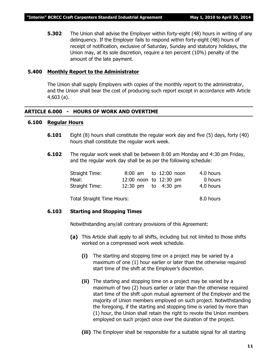**5.302** The Union shall advise the Employer within forty-eight (48) hours in writing of any delinquency. If the Employer fails to respond within forty-eight (48) hours of receipt of notification, exclusive of Saturday, Sunday and statutory holidays, the Union may, at its sole discretion, require a ten percent (10%) penalty of the amount of the late payment.

#### **5.400 Monthly Report to the Administrator**

The Union shall supply Employers with copies of the monthly report to the administrator, and the Union shall bear the cost of producing such report except in accordance with Article 4.603 (a).

#### **ARTICLE 6.000 - HOURS OF WORK AND OVERTIME**

#### **6.100 Regular Hours**

- **6.101** Eight (8) hours shall constitute the regular work day and five (5) days, forty (40) hours shall constitute the regular work week.
- **6.102** The regular work week shall be between 8:00 am Monday and 4:30 pm Friday, and the regular work day shall be as per the following schedule:

| Straight Time: |  | 8:00 am to 12:00 noon  | 4.0 hours |
|----------------|--|------------------------|-----------|
| Meal:          |  | 12:00 noon to 12:30 pm | 0 hours   |
| Straight Time: |  | 12:30 pm to 4:30 pm    | 4.0 hours |

Total Straight Time Hours: 8.0 hours

#### **6.103 Starting and Stopping Times**

Notwithstanding any/all contrary provisions of this Agreement:

- **(a)** This Article shall apply to all shifts, including but not limited to those shifts worked on a compressed work week schedule.
	- **(i)** The starting and stopping time on a project may be varied by a maximum of one (1) hour earlier or later than the otherwise required start time of the shift at the Employer's discretion.
	- **(ii)** The starting and stopping time on a project may be varied by a maximum of two (2) hours earlier or later than the otherwise required start time of the shift upon mutual agreement of the Employer and the majority of Union members employed on such project. Notwithstanding the foregoing, if the starting and stopping time is varied by more than (1) hour, the Union shall retain the right to revote the Union members employed on such project once over the duration of the project.
	- **(iii)** The Employer shall be responsible for a suitable signal for all starting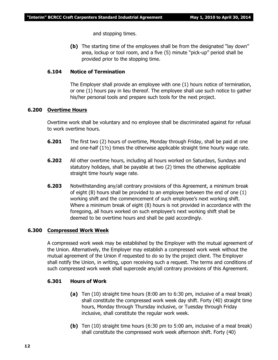and stopping times.

**(b)** The starting time of the employees shall be from the designated "lay down" area, lockup or tool room, and a five (5) minute "pick-up" period shall be provided prior to the stopping time.

#### **6.104 Notice of Termination**

The Employer shall provide an employee with one (1) hours notice of termination, or one (1) hours pay in lieu thereof. The employee shall use such notice to gather his/her personal tools and prepare such tools for the next project.

#### **6.200 Overtime Hours**

Overtime work shall be voluntary and no employee shall be discriminated against for refusal to work overtime hours.

- **6.201** The first two (2) hours of overtime, Monday through Friday, shall be paid at one and one-half  $(1\frac{1}{2})$  times the otherwise applicable straight time hourly wage rate.
- **6.202** All other overtime hours, including all hours worked on Saturdays, Sundays and statutory holidays, shall be payable at two (2) times the otherwise applicable straight time hourly wage rate.
- **6.203** Notwithstanding any/all contrary provisions of this Agreement, a minimum break of eight (8) hours shall be provided to an employee between the end of one (1) working shift and the commencement of such employee's next working shift. Where a minimum break of eight (8) hours is not provided in accordance with the foregoing, all hours worked on such employee's next working shift shall be deemed to be overtime hours and shall be paid accordingly.

#### **6.300 Compressed Work Week**

A compressed work week may be established by the Employer with the mutual agreement of the Union. Alternatively, the Employer may establish a compressed work week without the mutual agreement of the Union if requested to do so by the project client. The Employer shall notify the Union, in writing, upon receiving such a request. The terms and conditions of such compressed work week shall supercede any/all contrary provisions of this Agreement.

#### **6.301 Hours of Work**

- **(a)** Ten (10) straight time hours (8:00 am to 6:30 pm, inclusive of a meal break) shall constitute the compressed work week day shift. Forty (40) straight time hours, Monday through Thursday inclusive, or Tuesday through Friday inclusive, shall constitute the regular work week.
- **(b)** Ten (10) straight time hours (6:30 pm to 5:00 am, inclusive of a meal break) shall constitute the compressed work week afternoon shift. Forty (40)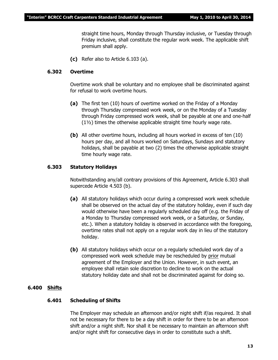straight time hours, Monday through Thursday inclusive, or Tuesday through Friday inclusive, shall constitute the regular work week. The applicable shift premium shall apply.

**(c)** Refer also to Article 6.103 (a).

#### **6.302 Overtime**

Overtime work shall be voluntary and no employee shall be discriminated against for refusal to work overtime hours.

- **(a)** The first ten (10) hours of overtime worked on the Friday of a Monday through Thursday compressed work week, or on the Monday of a Tuesday through Friday compressed work week, shall be payable at one and one-half (1½) times the otherwise applicable straight time hourly wage rate.
- **(b)** All other overtime hours, including all hours worked in excess of ten (10) hours per day, and all hours worked on Saturdays, Sundays and statutory holidays, shall be payable at two (2) times the otherwise applicable straight time hourly wage rate.

#### **6.303 Statutory Holidays**

Notwithstanding any/all contrary provisions of this Agreement, Article 6.303 shall supercede Article 4.503 (b).

- **(a)** All statutory holidays which occur during a compressed work week schedule shall be observed on the actual day of the statutory holiday, even if such day would otherwise have been a regularly scheduled day off (e.g. the Friday of a Monday to Thursday compressed work week, or a Saturday, or Sunday, etc.). When a statutory holiday is observed in accordance with the foregoing, overtime rates shall not apply on a regular work day in lieu of the statutory holiday.
- **(b)** All statutory holidays which occur on a regularly scheduled work day of a compressed work week schedule may be rescheduled by prior mutual agreement of the Employer and the Union. However, in such event, an employee shall retain sole discretion to decline to work on the actual statutory holiday date and shall not be discriminated against for doing so.

#### **6.400 Shifts**

#### **6.401 Scheduling of Shifts**

The Employer may schedule an afternoon and/or night shift if/as required. It shall not be necessary for there to be a day shift in order for there to be an afternoon shift and/or a night shift. Nor shall it be necessary to maintain an afternoon shift and/or night shift for consecutive days in order to constitute such a shift.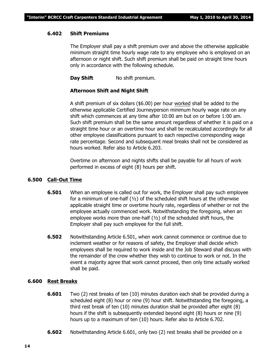#### **6.402 Shift Premiums**

The Employer shall pay a shift premium over and above the otherwise applicable minimum straight time hourly wage rate to any employee who is employed on an afternoon or night shift. Such shift premium shall be paid on straight time hours only in accordance with the following schedule.

**Day Shift** No shift premium.

#### **Afternoon Shift and Night Shift**

A shift premium of six dollars (\$6.00) per hour worked shall be added to the otherwise applicable Certified Journeyperson minimum hourly wage rate on any shift which commences at any time after 10:00 am but on or before 1:00 am. Such shift premium shall be the same amount regardless of whether it is paid on a straight time hour or an overtime hour and shall be recalculated accordingly for all other employee classifications pursuant to each respective corresponding wage rate percentage. Second and subsequent meal breaks shall not be considered as hours worked. Refer also to Article 6.203.

Overtime on afternoon and nights shifts shall be payable for all hours of work performed in excess of eight (8) hours per shift.

#### **6.500 Call-Out Time**

- **6.501** When an employee is called out for work, the Employer shall pay such employee for a minimum of one-half (½) of the scheduled shift hours at the otherwise applicable straight time or overtime hourly rate, regardless of whether or not the employee actually commenced work. Notwithstanding the foregoing, when an employee works more than one-half (½) of the scheduled shift hours, the Employer shall pay such employee for the full shift.
- **6.502** Notwithstanding Article 6.501, when work cannot commence or continue due to inclement weather or for reasons of safety, the Employer shall decide which employees shall be required to work inside and the Job Steward shall discuss with the remainder of the crew whether they wish to continue to work or not. In the event a majority agree that work cannot proceed, then only time actually worked shall be paid.

#### **6.600 Rest Breaks**

- **6.601** Two (2) rest breaks of ten (10) minutes duration each shall be provided during a scheduled eight (8) hour or nine (9) hour shift. Notwithstanding the foregoing, a third rest break of ten (10) minutes duration shall be provided after eight (8) hours if the shift is subsequently extended beyond eight (8) hours or nine (9) hours up to a maximum of ten (10) hours. Refer also to Article 6.702.
- **6.602** Notwithstanding Article 6.601, only two (2) rest breaks shall be provided on a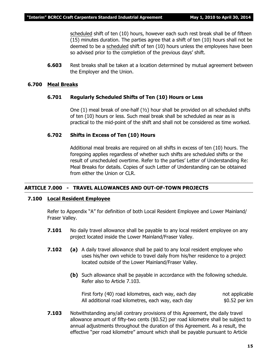scheduled shift of ten (10) hours, however each such rest break shall be of fifteen (15) minutes duration. The parties agree that a shift of ten (10) hours shall not be deemed to be a scheduled shift of ten (10) hours unless the employees have been so advised prior to the completion of the previous days' shift.

**6.603** Rest breaks shall be taken at a location determined by mutual agreement between the Employer and the Union.

#### **6.700 Meal Breaks**

#### **6.701 Regularly Scheduled Shifts of Ten (10) Hours or Less**

One (1) meal break of one-half (½) hour shall be provided on all scheduled shifts of ten (10) hours or less. Such meal break shall be scheduled as near as is practical to the mid-point of the shift and shall not be considered as time worked.

#### **6.702 Shifts in Excess of Ten (10) Hours**

Additional meal breaks are required on all shifts in excess of ten (10) hours. The foregoing applies regardless of whether such shifts are scheduled shifts or the result of unscheduled overtime. Refer to the parties' Letter of Understanding Re: Meal Breaks for details. Copies of such Letter of Understanding can be obtained from either the Union or CLR.

#### **ARTICLE 7.000 - TRAVEL ALLOWANCES AND OUT-OF-TOWN PROJECTS**

#### **7.100 Local Resident Employee**

Refer to Appendix "A" for definition of both Local Resident Employee and Lower Mainland/ Fraser Valley.

- **7.101** No daily travel allowance shall be payable to any local resident employee on any project located inside the Lower Mainland/Fraser Valley.
- **7.102 (a)** A daily travel allowance shall be paid to any local resident employee who uses his/her own vehicle to travel daily from his/her residence to a project located outside of the Lower Mainland/Fraser Valley.
	- **(b)** Such allowance shall be payable in accordance with the following schedule. Refer also to Article 7.103.

First forty (40) road kilometres, each way, each day not applicable All additional road kilometres, each way, each day  $$0.52$  per km

**7.103** Notwithstanding any/all contrary provisions of this Agreement, the daily travel allowance amount of fifty-two cents (\$0.52) per road kilometre shall be subject to annual adjustments throughout the duration of this Agreement. As a result, the effective "per road kilometre" amount which shall be payable pursuant to Article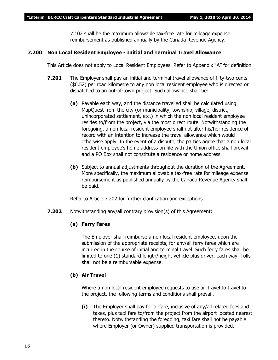7.102 shall be the maximum allowable tax-free rate for mileage expense reimbursement as published annually by the Canada Revenue Agency.

#### **7.200 Non Local Resident Employee - Initial and Terminal Travel Allowance**

This Article does not apply to Local Resident Employees. Refer to Appendix "A" for definition.

- **7.201** The Employer shall pay an initial and terminal travel allowance of fifty-two cents (\$0.52) per road kilometre to any non local resident employee who is directed or dispatched to an out-of-town project. Such allowance shall be:
	- **(a)** Payable each way, and the distance travelled shall be calculated using MapQuest from the city (or municipality, township, village, district, unincorporated settlement, etc.) in which the non local resident employee resides to/from the project, via the most direct route. Notwithstanding the foregoing, a non local resident employee shall not alter his/her residence of record with an intention to increase the travel allowance which would otherwise apply. In the event of a dispute, the parties agree that a non local resident employee's home address on file with the Union office shall prevail and a PO Box shall not constitute a residence or home address.
	- **(b)** Subject to annual adjustments throughout the duration of the Agreement. More specifically, the maximum allowable tax-free rate for mileage expense reimbursement as published annually by the Canada Revenue Agency shall be paid.

Refer to Article 7.202 for further clarification and exceptions.

**7.202** Notwithstanding any/all contrary provision(s) of this Agreement:

#### **(a) Ferry Fares**

The Employer shall reimburse a non local resident employee, upon the submission of the appropriate receipts, for any/all ferry fares which are incurred in the course of initial and terminal travel. Such ferry fares shall be limited to one (1) standard length/height vehicle plus driver, each way. Tolls shall not be a reimbursable expense.

#### **(b) Air Travel**

Where a non local resident employee requests to use air travel to travel to the project, the following terms and conditions shall prevail.

**(i)** The Employer shall pay for airfare, inclusive of any/all related fees and taxes, plus taxi fare to/from the project from the airport located nearest thereto. Notwithstanding the foregoing, taxi fare shall not be payable where Employer (or Owner) supplied transportation is provided.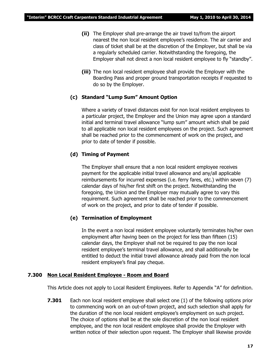- **(ii)** The Employer shall pre-arrange the air travel to/from the airport nearest the non local resident employee's residence. The air carrier and class of ticket shall be at the discretion of the Employer, but shall be via a regularly scheduled carrier. Notwithstanding the foregoing, the Employer shall not direct a non local resident employee to fly "standby".
- **(iii)** The non local resident employee shall provide the Employer with the Boarding Pass and proper ground transportation receipts if requested to do so by the Employer.

#### **(c) Standard "Lump Sum" Amount Option**

Where a variety of travel distances exist for non local resident employees to a particular project, the Employer and the Union may agree upon a standard initial and terminal travel allowance "lump sum" amount which shall be paid to all applicable non local resident employees on the project. Such agreement shall be reached prior to the commencement of work on the project, and prior to date of tender if possible.

#### **(d) Timing of Payment**

The Employer shall ensure that a non local resident employee receives payment for the applicable initial travel allowance and any/all applicable reimbursements for incurred expenses (i.e. ferry fares, etc.) within seven (7) calendar days of his/her first shift on the project. Notwithstanding the foregoing, the Union and the Employer may mutually agree to vary this requirement. Such agreement shall be reached prior to the commencement of work on the project, and prior to date of tender if possible.

#### **(e) Termination of Employment**

In the event a non local resident employee voluntarily terminates his/her own employment after having been on the project for less than fifteen (15) calendar days, the Employer shall not be required to pay the non local resident employee's terminal travel allowance, and shall additionally be entitled to deduct the initial travel allowance already paid from the non local resident employee's final pay cheque.

#### **7.300 Non Local Resident Employee - Room and Board**

This Article does not apply to Local Resident Employees. Refer to Appendix "A" for definition.

**7.301** Each non local resident employee shall select one (1) of the following options prior to commencing work on an out-of-town project, and such selection shall apply for the duration of the non local resident employee's employment on such project. The choice of options shall be at the sole discretion of the non local resident employee, and the non local resident employee shall provide the Employer with written notice of their selection upon request. The Employer shall likewise provide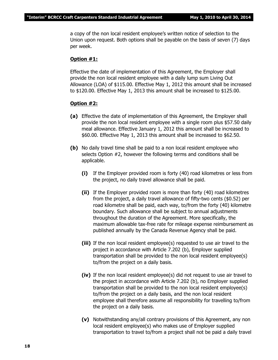a copy of the non local resident employee's written notice of selection to the Union upon request. Both options shall be payable on the basis of seven (7) days per week.

#### **Option #1:**

Effective the date of implementation of this Agreement, the Employer shall provide the non local resident employee with a daily lump sum Living Out Allowance (LOA) of \$115.00. Effective May 1, 2012 this amount shall be increased to \$120.00. Effective May 1, 2013 this amount shall be increased to \$125.00.

#### **Option #2:**

- **(a)** Effective the date of implementation of this Agreement, the Employer shall provide the non local resident employee with a single room plus \$57.50 daily meal allowance. Effective January 1, 2012 this amount shall be increased to \$60.00. Effective May 1, 2013 this amount shall be increased to \$62.50.
- **(b)** No daily travel time shall be paid to a non local resident employee who selects Option #2, however the following terms and conditions shall be applicable.
	- **(i)** If the Employer provided room is forty (40) road kilometres or less from the project, no daily travel allowance shall be paid.
	- **(ii)** If the Employer provided room is more than forty (40) road kilometres from the project, a daily travel allowance of fifty-two cents (\$0.52) per road kilometre shall be paid, each way, to/from the forty (40) kilometre boundary. Such allowance shall be subject to annual adjustments throughout the duration of the Agreement. More specifically, the maximum allowable tax-free rate for mileage expense reimbursement as published annually by the Canada Revenue Agency shall be paid.
	- **(iii)** If the non local resident employee(s) requested to use air travel to the project in accordance with Article 7.202 (b), Employer supplied transportation shall be provided to the non local resident employee(s) to/from the project on a daily basis.
	- **(iv)** If the non local resident employee(s) did not request to use air travel to the project in accordance with Article 7.202 (b), no Employer supplied transportation shall be provided to the non local resident employee(s) to/from the project on a daily basis, and the non local resident employee shall therefore assume all responsibility for travelling to/from the project on a daily basis.
	- **(v)** Notwithstanding any/all contrary provisions of this Agreement, any non local resident employee(s) who makes use of Employer supplied transportation to travel to/from a project shall not be paid a daily travel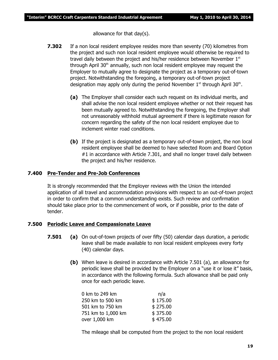allowance for that day(s).

- **7.302** If a non local resident employee resides more than seventy (70) kilometres from the project and such non local resident employee would otherwise be required to travel daily between the project and his/her residence between November 1st through April  $30<sup>th</sup>$  annually, such non local resident employee may request the Employer to mutually agree to designate the project as a temporary out-of-town project. Notwithstanding the foregoing, a temporary out-of-town project designation may apply only during the period November  $1<sup>st</sup>$  through April 30<sup>th</sup>.
	- **(a)** The Employer shall consider each such request on its individual merits, and shall advise the non local resident employee whether or not their request has been mutually agreed to. Notwithstanding the foregoing, the Employer shall not unreasonably withhold mutual agreement if there is legitimate reason for concern regarding the safety of the non local resident employee due to inclement winter road conditions.
	- **(b)** If the project is designated as a temporary out-of-town project, the non local resident employee shall be deemed to have selected Room and Board Option #1 in accordance with Article 7.301, and shall no longer travel daily between the project and his/her residence.

#### **7.400 Pre-Tender and Pre-Job Conferences**

It is strongly recommended that the Employer reviews with the Union the intended application of all travel and accommodation provisions with respect to an out-of-town project in order to confirm that a common understanding exists. Such review and confirmation should take place prior to the commencement of work, or if possible, prior to the date of tender.

#### **7.500 Periodic Leave and Compassionate Leave**

- **7.501 (a)** On out-of-town projects of over fifty (50) calendar days duration, a periodic leave shall be made available to non local resident employees every forty (40) calendar days.
	- **(b)** When leave is desired in accordance with Article 7.501 (a), an allowance for periodic leave shall be provided by the Employer on a "use it or lose it" basis, in accordance with the following formula. Such allowance shall be paid only once for each periodic leave.

| 0 km to 249 km     | n/a      |
|--------------------|----------|
| 250 km to 500 km   | \$175.00 |
| 501 km to 750 km   | \$275.00 |
| 751 km to 1,000 km | \$375.00 |
| over 1,000 km      | \$475.00 |

The mileage shall be computed from the project to the non local resident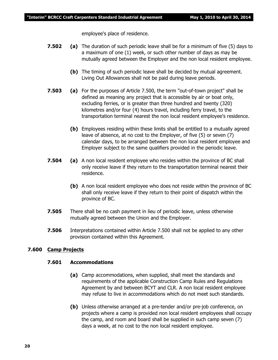employee's place of residence.

- **7.502 (a)** The duration of such periodic leave shall be for a minimum of five (5) days to a maximum of one (1) week, or such other number of days as may be mutually agreed between the Employer and the non local resident employee.
	- **(b)** The timing of such periodic leave shall be decided by mutual agreement. Living Out Allowances shall not be paid during leave periods.
- **7.503 (a)** For the purposes of Article 7.500, the term "out-of-town project" shall be defined as meaning any project that is accessible by air or boat only, excluding ferries, or is greater than three hundred and twenty (320) kilometres and/or four (4) hours travel, including ferry travel, to the transportation terminal nearest the non local resident employee's residence.
	- **(b)** Employees residing within these limits shall be entitled to a mutually agreed leave of absence, at no cost to the Employer, of five (5) or seven (7) calendar days, to be arranged between the non local resident employee and Employer subject to the same qualifiers provided in the periodic leave.
- **7.504 (a)** A non local resident employee who resides within the province of BC shall only receive leave if they return to the transportation terminal nearest their residence.
	- **(b)** A non local resident employee who does not reside within the province of BC shall only receive leave if they return to their point of dispatch within the province of BC.
- **7.505** There shall be no cash payment in lieu of periodic leave, unless otherwise mutually agreed between the Union and the Employer.
- **7.506** Interpretations contained within Article 7.500 shall not be applied to any other provision contained within this Agreement.

#### **7.600 Camp Projects**

#### **7.601 Accommodations**

- **(a)** Camp accommodations, when supplied, shall meet the standards and requirements of the applicable Construction Camp Rules and Regulations Agreement by and between BCYT and CLR. A non local resident employee may refuse to live in accommodations which do not meet such standards.
- **(b)** Unless otherwise arranged at a pre-tender and/or pre-job conference, on projects where a camp is provided non local resident employees shall occupy the camp, and room and board shall be supplied in such camp seven (7) days a week, at no cost to the non local resident employee.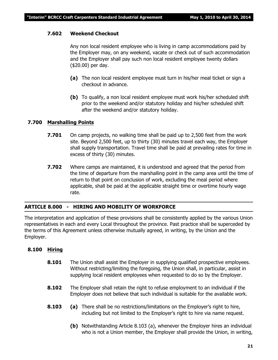#### **7.602 Weekend Checkout**

Any non local resident employee who is living in camp accommodations paid by the Employer may, on any weekend, vacate or check out of such accommodation and the Employer shall pay such non local resident employee twenty dollars (\$20.00) per day.

- **(a)** The non local resident employee must turn in his/her meal ticket or sign a checkout in advance.
- **(b)** To qualify, a non local resident employee must work his/her scheduled shift prior to the weekend and/or statutory holiday and his/her scheduled shift after the weekend and/or statutory holiday.

#### **7.700 Marshalling Points**

- **7.701** On camp projects, no walking time shall be paid up to 2,500 feet from the work site. Beyond 2,500 feet, up to thirty (30) minutes travel each way, the Employer shall supply transportation. Travel time shall be paid at prevailing rates for time in excess of thirty (30) minutes.
- **7.702** Where camps are maintained, it is understood and agreed that the period from the time of departure from the marshalling point in the camp area until the time of return to that point on conclusion of work, excluding the meal period where applicable, shall be paid at the applicable straight time or overtime hourly wage rate.

#### **ARTICLE 8.000 - HIRING AND MOBILITY OF WORKFORCE**

The interpretation and application of these provisions shall be consistently applied by the various Union representatives in each and every Local throughout the province. Past practice shall be superceded by the terms of this Agreement unless otherwise mutually agreed, in writing, by the Union and the Employer.

#### **8.100 Hiring**

- **8.101** The Union shall assist the Employer in supplying qualified prospective employees. Without restricting/limiting the foregoing, the Union shall, in particular, assist in supplying local resident employees when requested to do so by the Employer.
- **8.102** The Employer shall retain the right to refuse employment to an individual if the Employer does not believe that such individual is suitable for the available work.
- **8.103 (a)** There shall be no restrictions/limitations on the Employer's right to hire, including but not limited to the Employer's right to hire via name request.
	- **(b)** Notwithstanding Article 8.103 (a), whenever the Employer hires an individual who is not a Union member, the Employer shall provide the Union, in writing,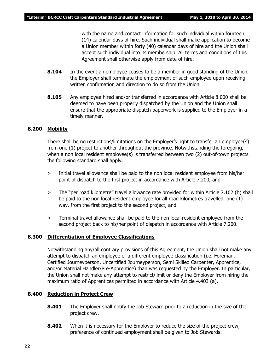with the name and contact information for such individual within fourteen (14) calendar days of hire. Such individual shall make application to become a Union member within forty (40) calendar days of hire and the Union shall accept such individual into its membership. All terms and conditions of this Agreement shall otherwise apply from date of hire.

- **8.104** In the event an employee ceases to be a member in good standing of the Union, the Employer shall terminate the employment of such employee upon receiving written confirmation and direction to do so from the Union.
- **8.105** Any employee hired and/or transferred in accordance with Article 8.000 shall be deemed to have been properly dispatched by the Union and the Union shall ensure that the appropriate dispatch paperwork is supplied to the Employer in a timely manner.

#### **8.200 Mobility**

There shall be no restrictions/limitations on the Employer's right to transfer an employee(s) from one (1) project to another throughout the province. Notwithstanding the foregoing, when a non local resident employee(s) is transferred between two (2) out-of-town projects the following standard shall apply.

- > Initial travel allowance shall be paid to the non local resident employee from his/her point of dispatch to the first project in accordance with Article 7.200, and
- > The "per road kilometre" travel allowance rate provided for within Article 7.102 (b) shall be paid to the non local resident employee for all road kilometres travelled, one (1) way, from the first project to the second project, and
- > Terminal travel allowance shall be paid to the non local resident employee from the second project back to his/her point of dispatch in accordance with Article 7.200.

#### **8.300 Differentiation of Employee Classifications**

Notwithstanding any/all contrary provisions of this Agreement, the Union shall not make any attempt to dispatch an employee of a different employee classification (i.e. Foreman, Certified Journeyperson, Uncertified Journeyperson, Semi Skilled Carpenter, Apprentice, and/or Material Handler/Pre-Apprentice) than was requested by the Employer. In particular, the Union shall not make any attempt to restrict/limit or deny the Employer from hiring the maximum ratio of Apprentices permitted in accordance with Article 4.403 (a).

#### **8.400 Reduction in Project Crew**

- **8.401** The Employer shall notify the Job Steward prior to a reduction in the size of the project crew.
- **8.402** When it is necessary for the Employer to reduce the size of the project crew, preference of continued employment shall be given to Job Stewards.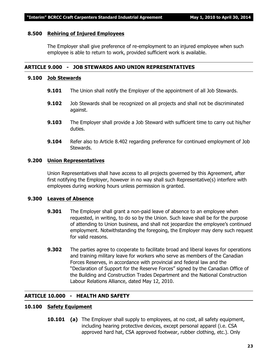#### **8.500 Rehiring of Injured Employees**

The Employer shall give preference of re-employment to an injured employee when such employee is able to return to work, provided sufficient work is available.

#### **ARTICLE 9.000 - JOB STEWARDS AND UNION REPRESENTATIVES**

#### **9.100 Job Stewards**

- **9.101** The Union shall notify the Employer of the appointment of all Job Stewards.
- **9.102** Job Stewards shall be recognized on all projects and shall not be discriminated against.
- **9.103** The Employer shall provide a Job Steward with sufficient time to carry out his/her duties.
- **9.104** Refer also to Article 8.402 regarding preference for continued employment of Job Stewards.

#### **9.200 Union Representatives**

Union Representatives shall have access to all projects governed by this Agreement, after first notifying the Employer, however in no way shall such Representative(s) interfere with employees during working hours unless permission is granted.

#### **9.300 Leaves of Absence**

- **9.301** The Employer shall grant a non-paid leave of absence to an employee when requested, in writing, to do so by the Union. Such leave shall be for the purpose of attending to Union business, and shall not jeopardize the employee's continued employment. Notwithstanding the foregoing, the Employer may deny such request for valid reasons.
- **9.302** The parties agree to cooperate to facilitate broad and liberal leaves for operations and training military leave for workers who serve as members of the Canadian Forces Reserves, in accordance with provincial and federal law and the "Declaration of Support for the Reserve Forces" signed by the Canadian Office of the Building and Construction Trades Department and the National Construction Labour Relations Alliance, dated May 12, 2010.

#### **ARTICLE 10.000 - HEALTH AND SAFETY**

#### **10.100 Safety Equipment**

**10.101 (a)** The Employer shall supply to employees, at no cost, all safety equipment, including hearing protective devices, except personal apparel (i.e. CSA approved hard hat, CSA approved footwear, rubber clothing, etc.). Only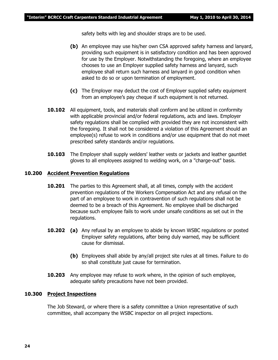safety belts with leg and shoulder straps are to be used.

- **(b)** An employee may use his/her own CSA approved safety harness and lanyard, providing such equipment is in satisfactory condition and has been approved for use by the Employer. Notwithstanding the foregoing, where an employee chooses to use an Employer supplied safety harness and lanyard, such employee shall return such harness and lanyard in good condition when asked to do so or upon termination of employment.
- **(c)** The Employer may deduct the cost of Employer supplied safety equipment from an employee's pay cheque if such equipment is not returned.
- **10.102** All equipment, tools, and materials shall conform and be utilized in conformity with applicable provincial and/or federal regulations, acts and laws. Employer safety regulations shall be complied with provided they are not inconsistent with the foregoing. It shall not be considered a violation of this Agreement should an employee(s) refuse to work in conditions and/or use equipment that do not meet prescribed safety standards and/or regulations.
- **10.103** The Employer shall supply welders' leather vests or jackets and leather gauntlet gloves to all employees assigned to welding work, on a "charge-out" basis.

#### **10.200 Accident Prevention Regulations**

- **10.201** The parties to this Agreement shall, at all times, comply with the accident prevention regulations of the *Workers Compensation Act* and any refusal on the part of an employee to work in contravention of such regulations shall not be deemed to be a breach of this Agreement. No employee shall be discharged because such employee fails to work under unsafe conditions as set out in the regulations.
- **10.202 (a)** Any refusal by an employee to abide by known WSBC regulations or posted Employer safety regulations, after being duly warned, may be sufficient cause for dismissal.
	- **(b)** Employees shall abide by any/all project site rules at all times. Failure to do so shall constitute just cause for termination.
- **10.203** Any employee may refuse to work where, in the opinion of such employee, adequate safety precautions have not been provided.

#### **10.300 Project Inspections**

The Job Steward, or where there is a safety committee a Union representative of such committee, shall accompany the WSBC inspector on all project inspections.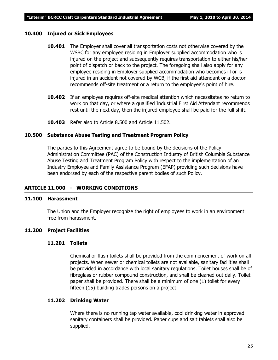#### **10.400 Injured or Sick Employees**

- **10.401** The Employer shall cover all transportation costs not otherwise covered by the WSBC for any employee residing in Employer supplied accommodation who is injured on the project and subsequently requires transportation to either his/her point of dispatch or back to the project. The foregoing shall also apply for any employee residing in Employer supplied accommodation who becomes ill or is injured in an accident not covered by WCB, if the first aid attendant or a doctor recommends off-site treatment or a return to the employee's point of hire.
- **10.402** If an employee requires off-site medical attention which necessitates no return to work on that day, or where a qualified Industrial First Aid Attendant recommends rest until the next day, then the injured employee shall be paid for the full shift.
- **10.403** Refer also to Article 8.500 and Article 11.502.

#### **10.500 Substance Abuse Testing and Treatment Program Policy**

The parties to this Agreement agree to be bound by the decisions of the Policy Administration Committee (PAC) of the Construction Industry of British Columbia Substance Abuse Testing and Treatment Program Policy with respect to the implementation of an Industry Employee and Family Assistance Program (EFAP) providing such decisions have been endorsed by each of the respective parent bodies of such Policy.

#### **ARTICLE 11.000 - WORKING CONDITIONS**

#### **11.100 Harassment**

The Union and the Employer recognize the right of employees to work in an environment free from harassment.

#### **11.200 Project Facilities**

#### **11.201 Toilets**

Chemical or flush toilets shall be provided from the commencement of work on all projects. When sewer or chemical toilets are not available, sanitary facilities shall be provided in accordance with local sanitary regulations. Toilet houses shall be of fibreglass or rubber compound construction, and shall be cleaned out daily. Toilet paper shall be provided. There shall be a minimum of one (1) toilet for every fifteen (15) building trades persons on a project.

#### **11.202 Drinking Water**

Where there is no running tap water available, cool drinking water in approved sanitary containers shall be provided. Paper cups and salt tablets shall also be supplied.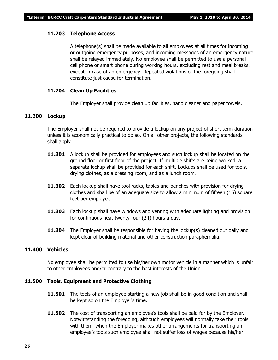#### **11.203 Telephone Access**

A telephone(s) shall be made available to all employees at all times for incoming or outgoing emergency purposes, and incoming messages of an emergency nature shall be relayed immediately. No employee shall be permitted to use a personal cell phone or smart phone during working hours, excluding rest and meal breaks, except in case of an emergency. Repeated violations of the foregoing shall constitute just cause for termination.

#### **11.204 Clean Up Facilities**

The Employer shall provide clean up facilities, hand cleaner and paper towels.

#### **11.300 Lockup**

The Employer shall not be required to provide a lockup on any project of short term duration unless it is economically practical to do so. On all other projects, the following standards shall apply.

- **11.301** A lockup shall be provided for employees and such lockup shall be located on the ground floor or first floor of the project. If multiple shifts are being worked, a separate lockup shall be provided for each shift. Lockups shall be used for tools, drying clothes, as a dressing room, and as a lunch room.
- **11.302** Each lockup shall have tool racks, tables and benches with provision for drying clothes and shall be of an adequate size to allow a minimum of fifteen (15) square feet per employee.
- **11.303** Each lockup shall have windows and venting with adequate lighting and provision for continuous heat twenty-four (24) hours a day.
- **11.304** The Employer shall be responsible for having the lockup(s) cleaned out daily and kept clear of building material and other construction paraphernalia.

#### **11.400 Vehicles**

No employee shall be permitted to use his/her own motor vehicle in a manner which is unfair to other employees and/or contrary to the best interests of the Union.

#### **11.500 Tools, Equipment and Protective Clothing**

- **11.501** The tools of an employee starting a new job shall be in good condition and shall be kept so on the Employer's time.
- **11.502** The cost of transporting an employee's tools shall be paid for by the Employer. Notwithstanding the foregoing, although employees will normally take their tools with them, when the Employer makes other arrangements for transporting an employee's tools such employee shall not suffer loss of wages because his/her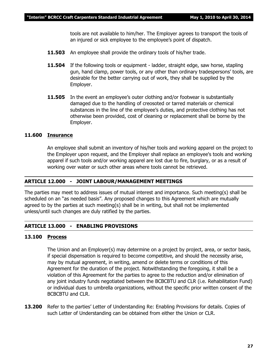tools are not available to him/her. The Employer agrees to transport the tools of an injured or sick employee to the employee's point of dispatch.

- **11.503** An employee shall provide the ordinary tools of his/her trade.
- **11.504** If the following tools or equipment ladder, straight edge, saw horse, stapling gun, hand clamp, power tools, or any other than ordinary tradespersons' tools, are desirable for the better carrying out of work, they shall be supplied by the Employer.
- **11.505** In the event an employee's outer clothing and/or footwear is substantially damaged due to the handling of creosoted or tarred materials or chemical substances in the line of the employee's duties, and protective clothing has not otherwise been provided, cost of cleaning or replacement shall be borne by the Employer.

#### **11.600 Insurance**

An employee shall submit an inventory of his/her tools and working apparel on the project to the Employer upon request, and the Employer shall replace an employee's tools and working apparel if such tools and/or working apparel are lost due to fire, burglary, or as a result of working over water or such other areas where tools cannot be retrieved.

#### **ARTICLE 12.000 - JOINT LABOUR/MANAGEMENT MEETINGS**

The parties may meet to address issues of mutual interest and importance. Such meeting(s) shall be scheduled on an "as needed basis". Any proposed changes to this Agreement which are mutually agreed to by the parties at such meeting(s) shall be in writing, but shall not be implemented unless/until such changes are duly ratified by the parties.

#### **ARTICLE 13.000 - ENABLING PROVISIONS**

#### **13.100 Process**

The Union and an Employer(s) may determine on a project by project, area, or sector basis, if special dispensation is required to become competitive, and should the necessity arise, may by mutual agreement, in writing, amend or delete terms or conditions of this Agreement for the duration of the project. Notwithstanding the foregoing, it shall be a violation of this Agreement for the parties to agree to the reduction and/or elimination of any joint industry funds negotiated between the BCBCBTU and CLR (i.e. Rehabilitation Fund) or individual dues to umbrella organizations, without the specific prior written consent of the BCBCBTU and CLR.

**13.200** Refer to the parties' Letter of Understanding Re: Enabling Provisions for details. Copies of such Letter of Understanding can be obtained from either the Union or CLR.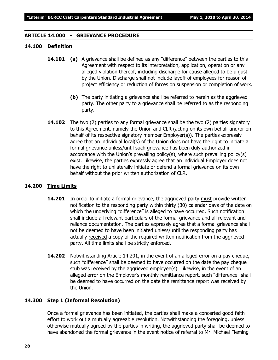#### **ARTICLE 14.000 - GRIEVANCE PROCEDURE**

#### **14.100 Definition**

- **14.101 (a)** A grievance shall be defined as any "difference" between the parties to this Agreement with respect to its interpretation, application, operation or any alleged violation thereof, including discharge for cause alleged to be unjust by the Union. Discharge shall not include layoff of employees for reason of project efficiency or reduction of forces on suspension or completion of work.
	- **(b)** The party initiating a grievance shall be referred to herein as the aggrieved party. The other party to a grievance shall be referred to as the responding party.
- **14.102** The two (2) parties to any formal grievance shall be the two (2) parties signatory to this Agreement, namely the Union and CLR (acting on its own behalf and/or on behalf of its respective signatory member Employer(s)). The parties expressly agree that an individual local(s) of the Union does not have the right to initiate a formal grievance unless/until such grievance has been duly authorized in accordance with the Union's prevailing policy(s), where such prevailing policy(s) exist. Likewise, the parties expressly agree that an individual Employer does not have the right to unilaterally initiate or defend a formal grievance on its own behalf without the prior written authorization of CLR.

#### **14.200 Time Limits**

- **14.201** In order to initiate a formal grievance, the aggrieved party must provide written notification to the responding party within thirty (30) calendar days of the date on which the underlying "difference" is alleged to have occurred. Such notification shall include all relevant particulars of the formal grievance and all relevant and reliance documentation. The parties expressly agree that a formal grievance shall not be deemed to have been initiated unless/until the responding party has actually received a copy of the required written notification from the aggrieved party. All time limits shall be strictly enforced.
- **14.202** Notwithstanding Article 14.201, in the event of an alleged error on a pay cheque, such "difference" shall be deemed to have occurred on the date the pay cheque stub was received by the aggrieved employee(s). Likewise, in the event of an alleged error on the Employer's monthly remittance report, such "difference" shall be deemed to have occurred on the date the remittance report was received by the Union.

#### **14.300 Step 1 (Informal Resolution)**

Once a formal grievance has been initiated, the parties shall make a concerted good faith effort to work out a mutually agreeable resolution. Notwithstanding the foregoing, unless otherwise mutually agreed by the parties in writing, the aggrieved party shall be deemed to have abandoned the formal grievance in the event notice of referral to Mr. Michael Fleming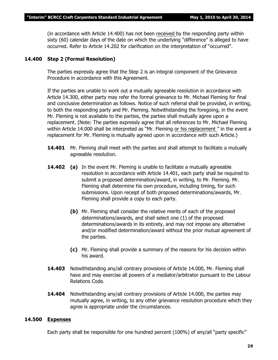(in accordance with Article 14.400) has not been received by the responding party within sixty (60) calendar days of the date on which the underlying "difference" is alleged to have occurred. Refer to Article 14.202 for clarification on the interpretation of "occurred".

#### **14.400 Step 2 (Formal Resolution)**

The parties expressly agree that the Step 2 is an integral component of the Grievance Procedure in accordance with this Agreement.

If the parties are unable to work out a mutually agreeable resolution in accordance with Article 14.300, either party may refer the formal grievance to Mr. Michael Fleming for final and conclusive determination as follows. Notice of such referral shall be provided, in writing, to both the responding party and Mr. Fleming. Notwithstanding the foregoing, in the event Mr. Fleming is not available to the parties, the parties shall mutually agree upon a replacement. (Note: The parties expressly agree that all references to Mr. Michael Fleming within Article 14.000 shall be interpreted as *"Mr. Fleming or his replacement "* in the event a replacement for Mr. Fleming is mutually agreed upon in accordance with such Article.)

- **14.401** Mr. Fleming shall meet with the parties and shall attempt to facilitate a mutually agreeable resolution.
- **14.402 (a)** In the event Mr. Fleming is unable to facilitate a mutually agreeable resolution in accordance with Article 14.401, each party shall be required to submit a proposed determination/award, in writing, to Mr. Fleming. Mr. Fleming shall determine his own procedure, including timing, for such submissions. Upon receipt of both proposed determinations/awards, Mr. Fleming shall provide a copy to each party.
	- **(b)** Mr. Fleming shall consider the relative merits of each of the proposed determinations/awards, and shall select one (1) of the proposed determinations/awards in its entirety, and may not impose any alternative and/or modified determination/award without the prior mutual agreement of the parties.
	- **(c)** Mr. Fleming shall provide a summary of the reasons for his decision within his award.
- **14.403** Notwithstanding any/all contrary provisions of Article 14.000, Mr. Fleming shall have and may exercise all powers of a mediator/arbitrator pursuant to the *Labour Relations Code.*
- **14.404** Notwithstanding any/all contrary provisions of Article 14.000, the parties may mutually agree, in writing, to any other grievance resolution procedure which they agree is appropriate under the circumstances.

#### **14.500 Expenses**

Each party shall be responsible for one hundred percent (100%) of any/all "party specific"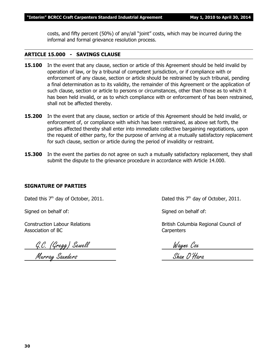costs, and fifty percent (50%) of any/all "joint" costs, which may be incurred during the informal and formal grievance resolution process.

#### **ARTICLE 15.000 - SAVINGS CLAUSE**

- **15.100** In the event that any clause, section or article of this Agreement should be held invalid by operation of law, or by a tribunal of competent jurisdiction, or if compliance with or enforcement of any clause, section or article should be restrained by such tribunal, pending a final determination as to its validity, the remainder of this Agreement or the application of such clause, section or article to persons or circumstances, other than those as to which it has been held invalid, or as to which compliance with or enforcement of has been restrained, shall not be affected thereby.
- **15.200** In the event that any clause, section or article of this Agreement should be held invalid, or enforcement of, or compliance with which has been restrained, as above set forth, the parties affected thereby shall enter into immediate collective bargaining negotiations, upon the request of either party, for the purpose of arriving at a mutually satisfactory replacement for such clause, section or article during the period of invalidity or restraint.
- **15.300** In the event the parties do not agree on such a mutually satisfactory replacement, they shall submit the dispute to the grievance procedure in accordance with Article 14.000.

#### **SIGNATURE OF PARTIES**

Dated this  $7<sup>th</sup>$  day of October, 2011. Dated this  $7<sup>th</sup>$  day of October, 2011.

Signed on behalf of: Signed on behalf of:

Association of BC Carpenters

G.C. (Gregg) Sewell Wayne Cox

Construction Labour Relations **British Columbia Regional Council of** British Columbia Regional Council of

Murray Saunders Shan O'Hara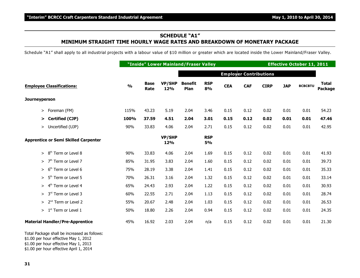#### **SCHEDULE "A1" MINIMUM STRAIGHT TIME HOURLY WAGE RATES AND BREAKDOWN OF MONETARY PACKAGE**

Schedule "A1" shall apply to all industrial projects with a labour value of \$10 million or greater which are located inside the Lower Mainland/Fraser Valley.

|                                              |               |                     | "Inside" Lower Mainland/Fraser Valley |                        |                  |            |                               |             | <b>Effective October 11, 2011</b> |                |                         |
|----------------------------------------------|---------------|---------------------|---------------------------------------|------------------------|------------------|------------|-------------------------------|-------------|-----------------------------------|----------------|-------------------------|
|                                              |               |                     |                                       |                        |                  |            | <b>Employer Contributions</b> |             |                                   |                |                         |
| <b>Employee Classifications:</b>             | $\frac{0}{0}$ | <b>Base</b><br>Rate | <b>VP/SHP</b><br>12%                  | <b>Benefit</b><br>Plan | <b>RSP</b><br>8% | <b>CEA</b> | <b>CAF</b>                    | <b>CIRP</b> | <b>JAP</b>                        | <b>BCBCBTU</b> | <b>Total</b><br>Package |
| <b>Journeyperson</b>                         |               |                     |                                       |                        |                  |            |                               |             |                                   |                |                         |
| Foreman (FM)<br>$\, > \,$                    | 115%          | 43.23               | 5.19                                  | 2.04                   | 3.46             | 0.15       | 0.12                          | 0.02        | 0.01                              | 0.01           | 54.23                   |
| <b>Certified (CJP)</b><br>>                  | 100%          | 37.59               | 4.51                                  | 2.04                   | 3.01             | 0.15       | 0.12                          | 0.02        | 0.01                              | 0.01           | 47.46                   |
| Uncertified (UJP)<br>>                       | 90%           | 33.83               | 4.06                                  | 2.04                   | 2.71             | 0.15       | 0.12                          | 0.02        | 0.01                              | 0.01           | 42.95                   |
| <b>Apprentice or Semi Skilled Carpenter</b>  |               |                     | <b>VP/SHP</b><br>12%                  |                        | <b>RSP</b><br>5% |            |                               |             |                                   |                |                         |
| Term or Level 8<br>$8^{\rm th}$<br>$\geq$    | 90%           | 33.83               | 4.06                                  | 2.04                   | 1.69             | 0.15       | 0.12                          | 0.02        | 0.01                              | 0.01           | 41.93                   |
| 7 <sup>th</sup><br>Term or Level 7<br>$\geq$ | 85%           | 31.95               | 3.83                                  | 2.04                   | 1.60             | 0.15       | 0.12                          | 0.02        | 0.01                              | 0.01           | 39.73                   |
| Term or Level 6<br>6 <sup>th</sup><br>$\geq$ | 75%           | 28.19               | 3.38                                  | 2.04                   | 1.41             | 0.15       | 0.12                          | 0.02        | 0.01                              | 0.01           | 35.33                   |
| Term or Level 5<br>5 <sup>th</sup><br>$\geq$ | 70%           | 26.31               | 3.16                                  | 2.04                   | 1.32             | 0.15       | 0.12                          | 0.02        | 0.01                              | 0.01           | 33.14                   |
| 4 <sup>th</sup><br>Term or Level 4<br>>      | 65%           | 24.43               | 2.93                                  | 2.04                   | 1.22             | 0.15       | 0.12                          | 0.02        | 0.01                              | 0.01           | 30.93                   |
| 3 <sup>rd</sup> Term or Level 3<br>>         | 60%           | 22.55               | 2.71                                  | 2.04                   | 1.13             | 0.15       | 0.12                          | 0.02        | 0.01                              | 0.01           | 28.74                   |
| > 2 <sup>nd</sup> Term or Level 2            | 55%           | 20.67               | 2.48                                  | 2.04                   | 1.03             | 0.15       | 0.12                          | 0.02        | 0.01                              | 0.01           | 26.53                   |
| 1 <sup>st</sup> Term or Level 1<br>$\geq$    | 50%           | 18.80               | 2.26                                  | 2.04                   | 0.94             | 0.15       | 0.12                          | 0.02        | 0.01                              | 0.01           | 24.35                   |
| <b>Material Handler/Pre-Apprentice</b>       | 45%           | 16.92               | 2.03                                  | 2.04                   | n/a              | 0.15       | 0.12                          | 0.02        | 0.01                              | 0.01           | 21.30                   |

Total Package shall be increased as follows:

\$1.00 per hour effective May 1, 2012

\$1.00 per hour effective May 1, 2013

\$1.00 per hour effective April 1, 2014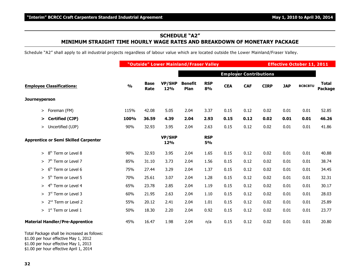### **SCHEDULE "A2" MINIMUM STRAIGHT TIME HOURLY WAGE RATES AND BREAKDOWN OF MONETARY PACKAGE**

Schedule "A2" shall apply to all industrial projects regardless of labour value which are located outside the Lower Mainland/Fraser Valley.

|                                              |               | "Outside" Lower Mainland/Fraser Valley |                      |                        |                  |            |                               |             |            | <b>Effective October 11, 2011</b> |                         |  |  |  |
|----------------------------------------------|---------------|----------------------------------------|----------------------|------------------------|------------------|------------|-------------------------------|-------------|------------|-----------------------------------|-------------------------|--|--|--|
|                                              |               |                                        |                      |                        |                  |            | <b>Employer Contributions</b> |             |            |                                   |                         |  |  |  |
| <b>Employee Classifications:</b>             | $\frac{0}{0}$ | <b>Base</b><br>Rate                    | <b>VP/SHP</b><br>12% | <b>Benefit</b><br>Plan | <b>RSP</b><br>8% | <b>CEA</b> | <b>CAF</b>                    | <b>CIRP</b> | <b>JAP</b> | <b>BCBCBTU</b>                    | <b>Total</b><br>Package |  |  |  |
| <b>Journeyperson</b>                         |               |                                        |                      |                        |                  |            |                               |             |            |                                   |                         |  |  |  |
| Foreman (FM)<br>>                            | 115%          | 42.08                                  | 5.05                 | 2.04                   | 3.37             | 0.15       | 0.12                          | 0.02        | 0.01       | 0.01                              | 52.85                   |  |  |  |
| Certified (CJP)<br>⋗                         | 100%          | 36.59                                  | 4.39                 | 2.04                   | 2.93             | 0.15       | 0.12                          | 0.02        | 0.01       | 0.01                              | 46.26                   |  |  |  |
| Uncertified (UJP)<br>>                       | 90%           | 32.93                                  | 3.95                 | 2.04                   | 2.63             | 0.15       | 0.12                          | 0.02        | 0.01       | 0.01                              | 41.86                   |  |  |  |
| <b>Apprentice or Semi Skilled Carpenter</b>  |               |                                        | <b>VP/SHP</b><br>12% |                        | <b>RSP</b><br>5% |            |                               |             |            |                                   |                         |  |  |  |
| Term or Level 8<br>8 <sup>th</sup><br>$\geq$ | 90%           | 32.93                                  | 3.95                 | 2.04                   | 1.65             | 0.15       | 0.12                          | 0.02        | 0.01       | 0.01                              | 40.88                   |  |  |  |
| 7 <sup>th</sup><br>Term or Level 7<br>$\geq$ | 85%           | 31.10                                  | 3.73                 | 2.04                   | 1.56             | 0.15       | 0.12                          | 0.02        | 0.01       | 0.01                              | 38.74                   |  |  |  |
| 6 <sup>th</sup> Term or Level 6<br>≻         | 75%           | 27.44                                  | 3.29                 | 2.04                   | 1.37             | 0.15       | 0.12                          | 0.02        | 0.01       | 0.01                              | 34.45                   |  |  |  |
| $> 5th$ Term or Level 5                      | 70%           | 25.61                                  | 3.07                 | 2.04                   | 1.28             | 0.15       | 0.12                          | 0.02        | 0.01       | 0.01                              | 32.31                   |  |  |  |
| 4 <sup>th</sup> Term or Level 4<br>>         | 65%           | 23.78                                  | 2.85                 | 2.04                   | 1.19             | 0.15       | 0.12                          | 0.02        | 0.01       | 0.01                              | 30.17                   |  |  |  |
| 3 <sup>rd</sup> Term or Level 3<br>$\geq$    | 60%           | 21.95                                  | 2.63                 | 2.04                   | 1.10             | 0.15       | 0.12                          | 0.02        | 0.01       | 0.01                              | 28.03                   |  |  |  |
| > 2 <sup>nd</sup> Term or Level 2            | 55%           | 20.12                                  | 2.41                 | 2.04                   | 1.01             | 0.15       | 0.12                          | 0.02        | 0.01       | 0.01                              | 25.89                   |  |  |  |
| $1st$ Term or Level 1<br>>                   | 50%           | 18.30                                  | 2.20                 | 2.04                   | 0.92             | 0.15       | 0.12                          | 0.02        | 0.01       | 0.01                              | 23.77                   |  |  |  |
| <b>Material Handler/Pre-Apprentice</b>       | 45%           | 16.47                                  | 1.98                 | 2.04                   | n/a              | 0.15       | 0.12                          | 0.02        | 0.01       | 0.01                              | 20.80                   |  |  |  |

Total Package shall be increased as follows:

\$1.00 per hour effective May 1, 2012

\$1.00 per hour effective May 1, 2013

\$1.00 per hour effective April 1, 2014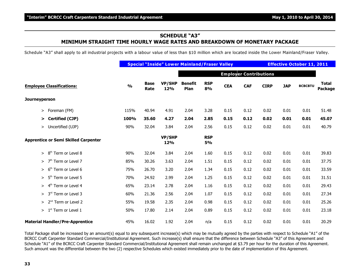### **SCHEDULE "A3" MINIMUM STRAIGHT TIME HOURLY WAGE RATES AND BREAKDOWN OF MONETARY PACKAGE**

Schedule "A3" shall apply to all industrial projects with a labour value of less than \$10 million which are located inside the Lower Mainland/Fraser Valley.

|                                                 |               |                     |                      |                        | <b>Special "Inside" Lower Mainland/Fraser Valley</b> |            |                               |             | <b>Effective October 11, 2011</b> |                |                         |  |
|-------------------------------------------------|---------------|---------------------|----------------------|------------------------|------------------------------------------------------|------------|-------------------------------|-------------|-----------------------------------|----------------|-------------------------|--|
|                                                 |               |                     |                      |                        |                                                      |            | <b>Employer Contributions</b> |             |                                   |                |                         |  |
| <b>Employee Classifications:</b>                | $\frac{0}{0}$ | <b>Base</b><br>Rate | <b>VP/SHP</b><br>12% | <b>Benefit</b><br>Plan | <b>RSP</b><br>8%                                     | <b>CEA</b> | <b>CAF</b>                    | <b>CIRP</b> | <b>JAP</b>                        | <b>BCBCBTU</b> | <b>Total</b><br>Package |  |
| Journeyperson                                   |               |                     |                      |                        |                                                      |            |                               |             |                                   |                |                         |  |
| Foreman (FM)<br>>                               | 115%          | 40.94               | 4.91                 | 2.04                   | 3.28                                                 | 0.15       | 0.12                          | 0.02        | 0.01                              | 0.01           | 51.48                   |  |
| Certified (CJP)<br>➤                            | 100%          | 35.60               | 4.27                 | 2.04                   | 2.85                                                 | 0.15       | 0.12                          | 0.02        | 0.01                              | 0.01           | 45.07                   |  |
| Uncertified (UJP)<br>$\geq$                     | 90%           | 32.04               | 3.84                 | 2.04                   | 2.56                                                 | 0.15       | 0.12                          | 0.02        | 0.01                              | 0.01           | 40.79                   |  |
| <b>Apprentice or Semi Skilled Carpenter</b>     |               |                     | <b>VP/SHP</b><br>12% |                        | <b>RSP</b><br>5%                                     |            |                               |             |                                   |                |                         |  |
| Term or Level 8<br>8 <sup>th</sup><br>$\, > \,$ | 90%           | 32.04               | 3.84                 | 2.04                   | 1.60                                                 | 0.15       | 0.12                          | 0.02        | 0.01                              | 0.01           | 39.83                   |  |
| Term or Level 7<br>7 <sup>th</sup><br>$\geq$    | 85%           | 30.26               | 3.63                 | 2.04                   | 1.51                                                 | 0.15       | 0.12                          | 0.02        | 0.01                              | 0.01           | 37.75                   |  |
| Term or Level 6<br>6 <sup>th</sup><br>>         | 75%           | 26.70               | 3.20                 | 2.04                   | 1.34                                                 | 0.15       | 0.12                          | 0.02        | 0.01                              | 0.01           | 33.59                   |  |
| 5 <sup>th</sup> Term or Level 5<br>$\, > \,$    | 70%           | 24.92               | 2.99                 | 2.04                   | 1.25                                                 | 0.15       | 0.12                          | 0.02        | 0.01                              | 0.01           | 31.51                   |  |
| 4 <sup>th</sup> Term or Level 4<br>$\geq$       | 65%           | 23.14               | 2.78                 | 2.04                   | 1.16                                                 | 0.15       | 0.12                          | 0.02        | 0.01                              | 0.01           | 29.43                   |  |
| 3 <sup>rd</sup> Term or Level 3<br>$\geq$       | 60%           | 21.36               | 2.56                 | 2.04                   | 1.07                                                 | 0.15       | 0.12                          | 0.02        | 0.01                              | 0.01           | 27.34                   |  |
| 2 <sup>nd</sup> Term or Level 2<br>$\geq$       | 55%           | 19.58               | 2.35                 | 2.04                   | 0.98                                                 | 0.15       | 0.12                          | 0.02        | 0.01                              | 0.01           | 25.26                   |  |
| $1st$ Term or Level 1<br>>                      | 50%           | 17.80               | 2.14                 | 2.04                   | 0.89                                                 | 0.15       | 0.12                          | 0.02        | 0.01                              | 0.01           | 23.18                   |  |
| <b>Material Handler/Pre-Apprentice</b>          | 45%           | 16.02               | 1.92                 | 2.04                   | n/a                                                  | 0.15       | 0.12                          | 0.02        | 0.01                              | 0.01           | 20.29                   |  |

Total Package shall be increased by an amount(s) equal to any subsequent increase(s) which may be mutually agreed by the parties with respect to Schedule "A1" of the BCRCC Craft Carpenter Standard Commercial/Institutional Agreement. Such increase(s) shall ensure that the difference between Schedule "A3" of this Agreement and Schedule "A1" of the BCRCC Craft Carpenter Standard Commercial/Institutional Agreement shall remain unchanged at \$3.79 per hour for the duration of this Agreement. Such amount was the differential between the two (2) respective Schedules which existed immediately prior to the date of implementation of this Agreement.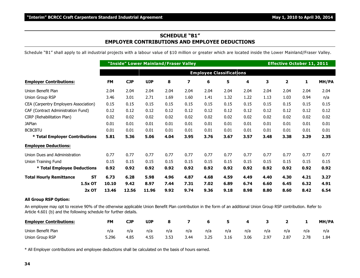#### **SCHEDULE "B1" EMPLOYER CONTRIBUTIONS AND EMPLOYEE DEDUCTIONS**

Schedule "B1" shall apply to all industrial projects with a labour value of \$10 million or greater which are located inside the Lower Mainland/Fraser Valley.

|                                             |                                 |            | "Inside" Lower Mainland/Fraser Valley |      | <b>Effective October 11, 2011</b> |      |      |      |      |      |      |       |
|---------------------------------------------|---------------------------------|------------|---------------------------------------|------|-----------------------------------|------|------|------|------|------|------|-------|
|                                             | <b>Employee Classifications</b> |            |                                       |      |                                   |      |      |      |      |      |      |       |
| <b>Employer Contributions:</b>              | <b>FM</b>                       | <b>CJP</b> | <b>UJP</b>                            | 8    | $\overline{\mathbf{z}}$           | 6    | 5    | 4    | 3    | 2    | 1    | MH/PA |
| Union Benefit Plan                          | 2.04                            | 2.04       | 2.04                                  | 2.04 | 2.04                              | 2.04 | 2.04 | 2.04 | 2.04 | 2.04 | 2.04 | 2.04  |
| Union Group RSP                             | 3.46                            | 3.01       | 2.71                                  | 1.69 | 1.60                              | 1.41 | 1.32 | 1.22 | 1.13 | 1.03 | 0.94 | n/a   |
| CEA (Carpentry Employers Association)       | 0.15                            | 0.15       | 0.15                                  | 0.15 | 0.15                              | 0.15 | 0.15 | 0.15 | 0.15 | 0.15 | 0.15 | 0.15  |
| CAF (Contract Administration Fund)          | 0.12                            | 0.12       | 0.12                                  | 0.12 | 0.12                              | 0.12 | 0.12 | 0.12 | 0.12 | 0.12 | 0.12 | 0.12  |
| CIRP (Rehabilitation Plan)                  | 0.02                            | 0.02       | 0.02                                  | 0.02 | 0.02                              | 0.02 | 0.02 | 0.02 | 0.02 | 0.02 | 0.02 | 0.02  |
| <b>JAPlan</b>                               | 0.01                            | 0.01       | 0.01                                  | 0.01 | 0.01                              | 0.01 | 0.01 | 0.01 | 0.01 | 0.01 | 0.01 | 0.01  |
| <b>BCBCBTU</b>                              | 0.01                            | 0.01       | 0.01                                  | 0.01 | 0.01                              | 0.01 | 0.01 | 0.01 | 0.01 | 0.01 | 0.01 | 0.01  |
| * Total Employer Contributions              | 5.81                            | 5.36       | 5.06                                  | 4.04 | 3.95                              | 3.76 | 3.67 | 3.57 | 3.48 | 3.38 | 3.29 | 2.35  |
| <b>Employee Deductions:</b>                 |                                 |            |                                       |      |                                   |      |      |      |      |      |      |       |
| Union Dues and Administration               | 0.77                            | 0.77       | 0.77                                  | 0.77 | 0.77                              | 0.77 | 0.77 | 0.77 | 0.77 | 0.77 | 0.77 | 0.77  |
| <b>Union Training Fund</b>                  | 0.15                            | 0.15       | 0.15                                  | 0.15 | 0.15                              | 0.15 | 0.15 | 0.15 | 0.15 | 0.15 | 0.15 | 0.15  |
| * Total Employee Deductions                 | 0.92                            | 0.92       | 0.92                                  | 0.92 | 0.92                              | 0.92 | 0.92 | 0.92 | 0.92 | 0.92 | 0.92 | 0.92  |
| <b>Total Hourly Remittance</b><br><b>ST</b> | 6.73                            | 6.28       | 5.98                                  | 4.96 | 4.87                              | 4.68 | 4.59 | 4.49 | 4.40 | 4.30 | 4.21 | 3.27  |
| 1.5x OT                                     | 10.10                           | 9.42       | 8.97                                  | 7.44 | 7.31                              | 7.02 | 6.89 | 6.74 | 6.60 | 6.45 | 6.32 | 4.91  |
| $2x$ OT                                     | 13.46                           | 12.56      | 11.96                                 | 9.92 | 9.74                              | 9.36 | 9.18 | 8.98 | 8.80 | 8.60 | 8.42 | 6.54  |

#### **All Group RSP Option:**

An employee may opt to receive 90% of the otherwise applicable Union Benefit Plan contribution in the form of an additional Union Group RSP contribution. Refer to Article 4.601 (b) and the following schedule for further details.

| <b>Employer Contributions:</b> | <b>FM</b> | <b>CJP</b> | <b>UJP</b> | 8    |      |      |      | -4   |      |      |      | MH/PA |
|--------------------------------|-----------|------------|------------|------|------|------|------|------|------|------|------|-------|
| Union Benefit Plan             | n/a       | n/a        | n/a        | n/a  | n/a  | n/a  | n/a  | n/a  | n/a  | n/a  | n/a  | n/a   |
| Union Group RSP                | 5.296     | 4.85       | 4.55       | 3.53 | 3.44 | 3.25 | 3.16 | 3.06 | 2.97 | 2.87 | 2.78 | 1.84  |

\* All Employer contributions and employee deductions shall be calculated on the basis of hours earned.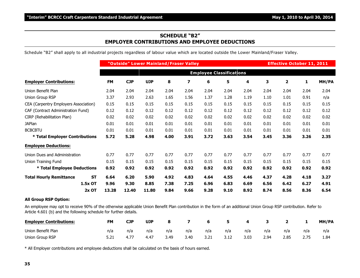#### **SCHEDULE "B2" EMPLOYER CONTRIBUTIONS AND EMPLOYEE DEDUCTIONS**

Schedule "B2" shall apply to all industrial projects regardless of labour value which are located outside the Lower Mainland/Fraser Valley.

|                                             |           | "Outside" Lower Mainland/Fraser Valley |            |      |                         |      |      |      | <b>Effective October 11, 2011</b> |      |      |       |
|---------------------------------------------|-----------|----------------------------------------|------------|------|-------------------------|------|------|------|-----------------------------------|------|------|-------|
|                                             |           | <b>Employee Classifications</b>        |            |      |                         |      |      |      |                                   |      |      |       |
| <b>Employer Contributions:</b>              | <b>FM</b> | <b>CJP</b>                             | <b>UJP</b> | 8    | $\overline{\mathbf{z}}$ | 6    | 5    | 4    | 3                                 | 2    | 1    | MH/PA |
| Union Benefit Plan                          | 2.04      | 2.04                                   | 2.04       | 2.04 | 2.04                    | 2.04 | 2.04 | 2.04 | 2.04                              | 2.04 | 2.04 | 2.04  |
| Union Group RSP                             | 3.37      | 2.93                                   | 2.63       | 1.65 | 1.56                    | 1.37 | 1.28 | 1.19 | 1.10                              | 1.01 | 0.91 | n/a   |
| CEA (Carpentry Employers Association)       | 0.15      | 0.15                                   | 0.15       | 0.15 | 0.15                    | 0.15 | 0.15 | 0.15 | 0.15                              | 0.15 | 0.15 | 0.15  |
| CAF (Contract Administration Fund)          | 0.12      | 0.12                                   | 0.12       | 0.12 | 0.12                    | 0.12 | 0.12 | 0.12 | 0.12                              | 0.12 | 0.12 | 0.12  |
| CIRP (Rehabilitation Plan)                  | 0.02      | 0.02                                   | 0.02       | 0.02 | 0.02                    | 0.02 | 0.02 | 0.02 | 0.02                              | 0.02 | 0.02 | 0.02  |
| <b>JAPlan</b>                               | 0.01      | 0.01                                   | 0.01       | 0.01 | 0.01                    | 0.01 | 0.01 | 0.01 | 0.01                              | 0.01 | 0.01 | 0.01  |
| <b>BCBCBTU</b>                              | 0.01      | 0.01                                   | 0.01       | 0.01 | 0.01                    | 0.01 | 0.01 | 0.01 | 0.01                              | 0.01 | 0.01 | 0.01  |
| * Total Employer Contributions              | 5.72      | 5.28                                   | 4.98       | 4.00 | 3.91                    | 3.72 | 3.63 | 3.54 | 3.45                              | 3.36 | 3.26 | 2.35  |
| <b>Employee Deductions:</b>                 |           |                                        |            |      |                         |      |      |      |                                   |      |      |       |
| Union Dues and Administration               | 0.77      | 0.77                                   | 0.77       | 0.77 | 0.77                    | 0.77 | 0.77 | 0.77 | 0.77                              | 0.77 | 0.77 | 0.77  |
| Union Training Fund                         | 0.15      | 0.15                                   | 0.15       | 0.15 | 0.15                    | 0.15 | 0.15 | 0.15 | 0.15                              | 0.15 | 0.15 | 0.15  |
| * Total Employee Deductions                 | 0.92      | 0.92                                   | 0.92       | 0.92 | 0.92                    | 0.92 | 0.92 | 0.92 | 0.92                              | 0.92 | 0.92 | 0.92  |
| <b>Total Hourly Remittance</b><br><b>ST</b> | 6.64      | 6.20                                   | 5.90       | 4.92 | 4.83                    | 4.64 | 4.55 | 4.46 | 4.37                              | 4.28 | 4.18 | 3.27  |
| 1.5x OT                                     | 9.96      | 9.30                                   | 8.85       | 7.38 | 7.25                    | 6.96 | 6.83 | 6.69 | 6.56                              | 6.42 | 6.27 | 4.91  |
| $2x$ OT                                     | 13.28     | 12.40                                  | 11.80      | 9.84 | 9.66                    | 9.28 | 9.10 | 8.92 | 8.74                              | 8.56 | 8.36 | 6.54  |

#### **All Group RSP Option:**

An employee may opt to receive 90% of the otherwise applicable Union Benefit Plan contribution in the form of an additional Union Group RSP contribution. Refer to Article 4.601 (b) and the following schedule for further details.

| <b>Employer Contributions:</b> | <b>FM</b> | <b>CJP</b> | <b>UJP</b> | 8    |      | 6    |     | 4    |      |      |     | MH/PA |
|--------------------------------|-----------|------------|------------|------|------|------|-----|------|------|------|-----|-------|
| Union Benefit Plan             | n/a       | n/a        | n/a        | n/a  | n/a  | n/a  | n/a | n/a  | n/a  | n/a  | n/a | n/a   |
| Union Group RSP                | 5.21      | 4.7        | 4.47       | 3.49 | 3.40 | 3.21 |     | 3.03 | 2.94 | 2.85 |     | 1.84  |

\* All Employer contributions and employee deductions shall be calculated on the basis of hours earned.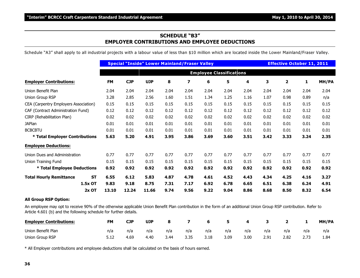#### **SCHEDULE "B3" EMPLOYER CONTRIBUTIONS AND EMPLOYEE DEDUCTIONS**

Schedule "A3" shall apply to all industrial projects with a labour value of less than \$10 million which are located inside the Lower Mainland/Fraser Valley.

|                                             |           |            | <b>Special "Inside" Lower Mainland/Fraser Valley</b> |      |                         |                                 |      |      |      | <b>Effective October 11, 2011</b> |      |       |
|---------------------------------------------|-----------|------------|------------------------------------------------------|------|-------------------------|---------------------------------|------|------|------|-----------------------------------|------|-------|
|                                             |           |            |                                                      |      |                         | <b>Employee Classifications</b> |      |      |      |                                   |      |       |
| <b>Employer Contributions:</b>              | <b>FM</b> | <b>CJP</b> | <b>UJP</b>                                           | 8    | $\overline{\mathbf{z}}$ | 6                               | 5    | 4    | 3    | 2                                 | 1    | MH/PA |
| Union Benefit Plan                          | 2.04      | 2.04       | 2.04                                                 | 2.04 | 2.04                    | 2.04                            | 2.04 | 2.04 | 2.04 | 2.04                              | 2.04 | 2.04  |
| Union Group RSP                             | 3.28      | 2.85       | 2.56                                                 | 1.60 | 1.51                    | 1.34                            | 1.25 | 1.16 | 1.07 | 0.98                              | 0.89 | n/a   |
| CEA (Carpentry Employers Association)       | 0.15      | 0.15       | 0.15                                                 | 0.15 | 0.15                    | 0.15                            | 0.15 | 0.15 | 0.15 | 0.15                              | 0.15 | 0.15  |
| CAF (Contract Administration Fund)          | 0.12      | 0.12       | 0.12                                                 | 0.12 | 0.12                    | 0.12                            | 0.12 | 0.12 | 0.12 | 0.12                              | 0.12 | 0.12  |
| CIRP (Rehabilitation Plan)                  | 0.02      | 0.02       | 0.02                                                 | 0.02 | 0.02                    | 0.02                            | 0.02 | 0.02 | 0.02 | 0.02                              | 0.02 | 0.02  |
| <b>JAPlan</b>                               | 0.01      | 0.01       | 0.01                                                 | 0.01 | 0.01                    | 0.01                            | 0.01 | 0.01 | 0.01 | 0.01                              | 0.01 | 0.01  |
| <b>BCBCBTU</b>                              | 0.01      | 0.01       | 0.01                                                 | 0.01 | 0.01                    | 0.01                            | 0.01 | 0.01 | 0.01 | 0.01                              | 0.01 | 0.01  |
| * Total Employer Contributions              | 5.63      | 5.20       | 4.91                                                 | 3.95 | 3.86                    | 3.69                            | 3.60 | 3.51 | 3.42 | 3.33                              | 3.24 | 2.35  |
| <b>Employee Deductions:</b>                 |           |            |                                                      |      |                         |                                 |      |      |      |                                   |      |       |
| Union Dues and Administration               | 0.77      | 0.77       | 0.77                                                 | 0.77 | 0.77                    | 0.77                            | 0.77 | 0.77 | 0.77 | 0.77                              | 0.77 | 0.77  |
| <b>Union Training Fund</b>                  | 0.15      | 0.15       | 0.15                                                 | 0.15 | 0.15                    | 0.15                            | 0.15 | 0.15 | 0.15 | 0.15                              | 0.15 | 0.15  |
| * Total Employee Deductions                 | 0.92      | 0.92       | 0.92                                                 | 0.92 | 0.92                    | 0.92                            | 0.92 | 0.92 | 0.92 | 0.92                              | 0.92 | 0.92  |
| <b>ST</b><br><b>Total Hourly Remittance</b> | 6.55      | 6.12       | 5.83                                                 | 4.87 | 4.78                    | 4.61                            | 4.52 | 4.43 | 4.34 | 4.25                              | 4.16 | 3.27  |
| 1.5x OT                                     | 9.83      | 9.18       | 8.75                                                 | 7.31 | 7.17                    | 6.92                            | 6.78 | 6.65 | 6.51 | 6.38                              | 6.24 | 4.91  |
| $2x$ OT                                     | 13.10     | 12.24      | 11.66                                                | 9.74 | 9.56                    | 9.22                            | 9.04 | 8.86 | 8.68 | 8.50                              | 8.32 | 6.54  |

#### **All Group RSP Option:**

An employee may opt to receive 90% of the otherwise applicable Union Benefit Plan contribution in the form of an additional Union Group RSP contribution. Refer to Article 4.601 (b) and the following schedule for further details.

| <b>Employer Contributions:</b> | <b>FM</b> | <b>CJP</b> | <b>UJP</b> | 8    |      | 6    |      | 4    |      |      |     | MH/PA |
|--------------------------------|-----------|------------|------------|------|------|------|------|------|------|------|-----|-------|
| Union Benefit Plan             | n/a       | n/a        | n/a        | n/a  | n/a  | n/a  | n/a  | n/a  | n/a  | n/a  | n/a | n/a   |
| Union Group RSP                | 5.12      | 4.69       | 4.40       | 3.44 | 3.35 | 3.18 | 3.09 | 3.00 | 2.91 | 2.82 |     | 1.84  |

\* All Employer contributions and employee deductions shall be calculated on the basis of hours earned.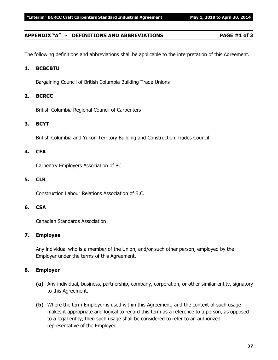#### **APPENDIX "A" - DEFINITIONS AND ABBREVIATIONS PAGE #1 of 3**

The following definitions and abbreviations shall be applicable to the interpretation of this Agreement.

#### **1. BCBCBTU**

Bargaining Council of British Columbia Building Trade Unions

#### **2. BCRCC**

British Columbia Regional Council of Carpenters

#### **3. BCYT**

British Columbia and Yukon Territory Building and Construction Trades Council

#### **4. CEA**

Carpentry Employers Association of BC

#### **5. CLR**

Construction Labour Relations Association of B.C.

#### **6. CSA**

Canadian Standards Association

#### **7. Employee**

Any individual who is a member of the Union, and/or such other person, employed by the Employer under the terms of this Agreement.

#### **8. Employer**

- **(a)** Any individual, business, partnership, company, corporation, or other similar entity, signatory to this Agreement.
- **(b)** Where the term Employer is used within this Agreement, and the context of such usage makes it appropriate and logical to regard this term as a reference to a person, as opposed to a legal entity, then such usage shall be considered to refer to an authorized representative of the Employer.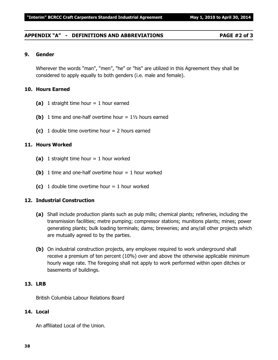#### **APPENDIX "A" - DEFINITIONS AND ABBREVIATIONS PAGE #2 of 3**

#### **9. Gender**

Wherever the words "man", "men", "he" or "his" are utilized in this Agreement they shall be considered to apply equally to both genders (i.e. male and female).

#### **10. Hours Earned**

- **(a)** 1 straight time hour = 1 hour earned
- **(b)** 1 time and one-half overtime hour  $= 1\frac{1}{2}$  hours earned
- **(c)** 1 double time overtime hour = 2 hours earned

#### **11. Hours Worked**

- **(a)** 1 straight time hour = 1 hour worked
- **(b)** 1 time and one-half overtime hour  $= 1$  hour worked
- **(c)** 1 double time overtime hour  $= 1$  hour worked

#### **12. Industrial Construction**

- **(a)** Shall include production plants such as pulp mills; chemical plants; refineries, including the transmission facilities; metre pumping; compressor stations; munitions plants; mines; power generating plants; bulk loading terminals; dams; breweries; and any/all other projects which are mutually agreed to by the parties.
- **(b)** On industrial construction projects, any employee required to work underground shall receive a premium of ten percent (10%) over and above the otherwise applicable minimum hourly wage rate. The foregoing shall not apply to work performed within open ditches or basements of buildings.

#### **13. LRB**

British Columbia Labour Relations Board

#### **14. Local**

An affiliated Local of the Union.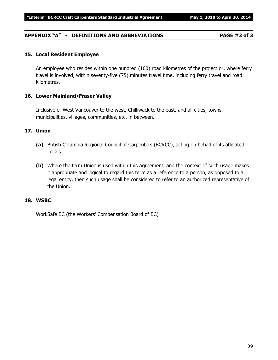#### **APPENDIX "A" - DEFINITIONS AND ABBREVIATIONS PAGE #3 of 3**

#### **15. Local Resident Employee**

An employee who resides within one hundred (100) road kilometres of the project or, where ferry travel is involved, within seventy-five (75) minutes travel time, including ferry travel and road kilometres.

#### **16. Lower Mainland/Fraser Valley**

Inclusive of West Vancouver to the west, Chilliwack to the east, and all cities, towns, municipalities, villages, communities, etc. in between.

#### **17. Union**

- **(a)** British Columbia Regional Council of Carpenters (BCRCC), acting on behalf of its affiliated Locals.
- **(b)** Where the term Union is used within this Agreement, and the context of such usage makes it appropriate and logical to regard this term as a reference to a person, as opposed to a legal entity, then such usage shall be considered to refer to an authorized representative of the Union.

#### **18. WSBC**

WorkSafe BC (the Workers' Compensation Board of BC)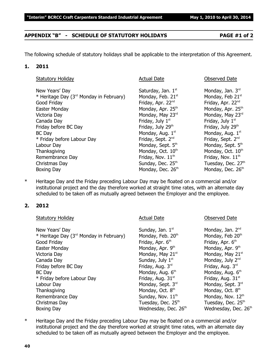#### **APPENDIX "B" - SCHEDULE OF STATUTORY HOLIDAYS PAGE #1 of 2**

The following schedule of statutory holidays shall be applicable to the interpretation of this Agreement.

#### **1. 2011**

| <b>Statutory Holiday</b>                            | <b>Actual Date</b>            | <b>Observed Date</b>          |
|-----------------------------------------------------|-------------------------------|-------------------------------|
| New Years' Day                                      | Saturday, Jan. 1st            | Monday, Jan. 3rd              |
| * Heritage Day (3 <sup>rd</sup> Monday in February) | Monday, Feb. 21st             | Monday, Feb 21st              |
| Good Friday                                         | Friday, Apr. 22 <sup>nd</sup> | Friday, Apr. 22nd             |
| Easter Monday                                       | Monday, Apr. 25 <sup>th</sup> | Monday, Apr. 25 <sup>th</sup> |
| Victoria Day                                        | Monday, May 23rd              | Monday, May 23rd              |
| Canada Day                                          | Friday, July 1 <sup>st</sup>  | Friday, July 1 <sup>st</sup>  |
| Friday before BC Day                                | Friday, July 29th             | Friday, July 29th             |
| <b>BC</b> Day                                       | Monday, Aug. 1st              | Monday, Aug. 1st              |
| * Friday before Labour Day                          | Friday, Sept. 2 <sup>nd</sup> | Friday, Sept. 2 <sup>nd</sup> |
| Labour Day                                          | Monday, Sept. 5th             | Monday, Sept. 5th             |
| Thanksgiving                                        | Monday, Oct. 10th             | Monday, Oct. 10th             |
| Remembrance Day                                     | Friday, Nov. 11 <sup>th</sup> | Friday, Nov. 11 <sup>th</sup> |
| Christmas Day                                       | Sunday, Dec. 25th             | Tuesday, Dec. 27th            |
| Boxing Day                                          | Monday, Dec. 26th             | Monday, Dec. 26th             |

\* Heritage Day and the Friday preceding Labour Day may be floated on a commercial and/or institutional project and the day therefore worked at straight time rates, with an alternate day scheduled to be taken off as mutually agreed between the Employer and the employee.

#### **2. 2012**

| <b>Statutory Holiday</b>                            | <b>Actual Date</b>               | <b>Observed Date</b>           |
|-----------------------------------------------------|----------------------------------|--------------------------------|
| New Years' Day                                      | Sunday, Jan. 1st                 | Monday, Jan. 2 <sup>nd</sup>   |
| * Heritage Day (3 <sup>rd</sup> Monday in February) | Monday, Feb. 20 <sup>th</sup>    | Monday, Feb 20th               |
| Good Friday                                         | Friday, Apr. 6 <sup>th</sup>     | Friday, Apr. 6 <sup>th</sup>   |
| Easter Monday                                       | Monday, Apr. 9th                 | Monday, Apr. 9th               |
| Victoria Day                                        | Monday, May 21st                 | Monday, May 21st               |
| Canada Day                                          | Sunday, July 1st                 | Monday, July 2nd               |
| Friday before BC Day                                | Friday, Aug. 3rd                 | Friday, Aug. 3rd               |
| <b>BC</b> Day                                       | Monday, Aug. 6th                 | Monday, Aug. 6 <sup>th</sup>   |
| * Friday before Labour Day                          | Friday, Aug. 31 <sup>st</sup>    | Friday, Aug. 31 <sup>st</sup>  |
| Labour Day                                          | Monday, Sept. 3rd                | Monday, Sept. 3rd              |
| Thanksgiving                                        | Monday, Oct. 8 <sup>th</sup>     | Monday, Oct. 8 <sup>th</sup>   |
| Remembrance Day                                     | Sunday, Nov. 11 <sup>th</sup>    | Monday, Nov. 12th              |
| Christmas Day                                       | Tuesday, Dec. 25 <sup>th</sup>   | Tuesday, Dec. 25 <sup>th</sup> |
| Boxing Day                                          | Wednesday, Dec. 26 <sup>th</sup> | Wednesday, Dec. 26th           |

\* Heritage Day and the Friday preceding Labour Day may be floated on a commercial and/or institutional project and the day therefore worked at straight time rates, with an alternate day scheduled to be taken off as mutually agreed between the Employer and the employee.